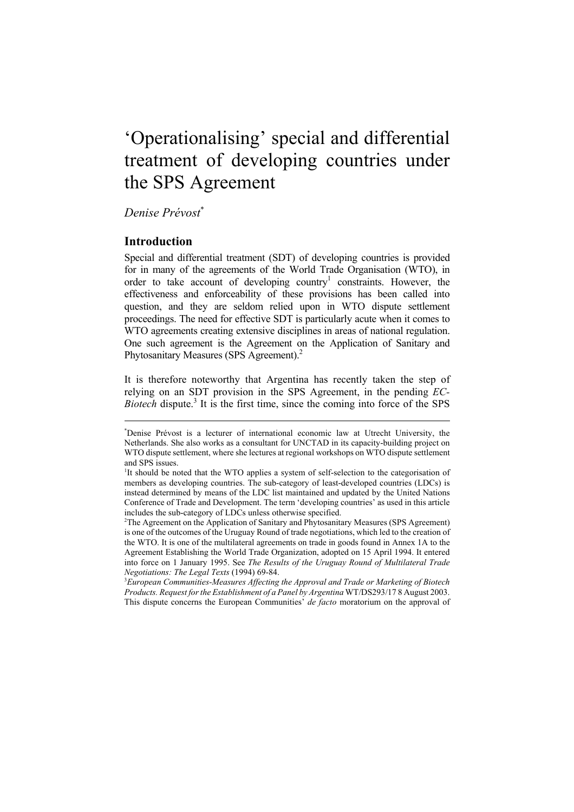# 'Operationalising' special and differential treatment of developing countries under the SPS Agreement

*Denise Prévost*\*

## **Introduction**

Special and differential treatment (SDT) of developing countries is provided for in many of the agreements of the World Trade Organisation (WTO), in order to take account of developing country<sup>1</sup> constraints. However, the effectiveness and enforceability of these provisions has been called into question, and they are seldom relied upon in WTO dispute settlement proceedings. The need for effective SDT is particularly acute when it comes to WTO agreements creating extensive disciplines in areas of national regulation. One such agreement is the Agreement on the Application of Sanitary and Phytosanitary Measures (SPS Agreement).<sup>2</sup>

It is therefore noteworthy that Argentina has recently taken the step of relying on an SDT provision in the SPS Agreement, in the pending *EC-*Biotech dispute.<sup>3</sup> It is the first time, since the coming into force of the SPS

<sup>\*</sup> Denise Prévost is a lecturer of international economic law at Utrecht University, the Netherlands. She also works as a consultant for UNCTAD in its capacity-building project on WTO dispute settlement, where she lectures at regional workshops on WTO dispute settlement and SPS issues.

<sup>&</sup>lt;sup>1</sup>It should be noted that the WTO applies a system of self-selection to the categorisation of members as developing countries. The sub-category of least-developed countries (LDCs) is instead determined by means of the LDC list maintained and updated by the United Nations Conference of Trade and Development. The term 'developing countries' as used in this article includes the sub-category of LDCs unless otherwise specified.

<sup>2</sup> The Agreement on the Application of Sanitary and Phytosanitary Measures (SPS Agreement) is one of the outcomes of the Uruguay Round of trade negotiations, which led to the creation of the WTO. It is one of the multilateral agreements on trade in goods found in Annex 1A to the Agreement Establishing the World Trade Organization, adopted on 15 April 1994. It entered into force on 1 January 1995. See *The Results of the Uruguay Round of Multilateral Trade Negotiations: The Legal Texts* (1994) 69-84. 3

*European Communities-Measures Affecting the Approval and Trade or Marketing of Biotech Products. Request for the Establishment of a Panel by Argentina* WT/DS293/17 8 August 2003. This dispute concerns the European Communities' *de facto* moratorium on the approval of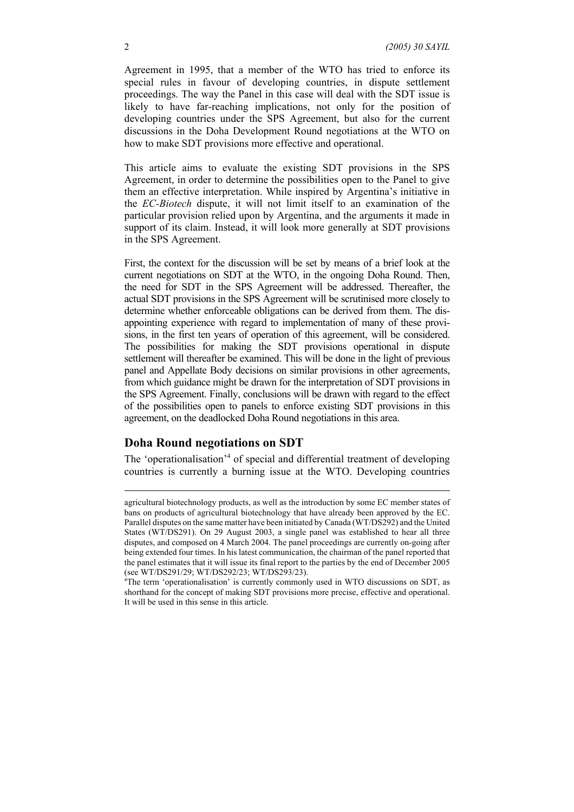Agreement in 1995, that a member of the WTO has tried to enforce its special rules in favour of developing countries, in dispute settlement proceedings. The way the Panel in this case will deal with the SDT issue is likely to have far-reaching implications, not only for the position of developing countries under the SPS Agreement, but also for the current discussions in the Doha Development Round negotiations at the WTO on how to make SDT provisions more effective and operational.

This article aims to evaluate the existing SDT provisions in the SPS Agreement, in order to determine the possibilities open to the Panel to give them an effective interpretation. While inspired by Argentina's initiative in the *EC-Biotech* dispute, it will not limit itself to an examination of the particular provision relied upon by Argentina, and the arguments it made in support of its claim. Instead, it will look more generally at SDT provisions in the SPS Agreement.

First, the context for the discussion will be set by means of a brief look at the current negotiations on SDT at the WTO, in the ongoing Doha Round. Then, the need for SDT in the SPS Agreement will be addressed. Thereafter, the actual SDT provisions in the SPS Agreement will be scrutinised more closely to determine whether enforceable obligations can be derived from them. The disappointing experience with regard to implementation of many of these provisions, in the first ten years of operation of this agreement, will be considered. The possibilities for making the SDT provisions operational in dispute settlement will thereafter be examined. This will be done in the light of previous panel and Appellate Body decisions on similar provisions in other agreements, from which guidance might be drawn for the interpretation of SDT provisions in the SPS Agreement. Finally, conclusions will be drawn with regard to the effect of the possibilities open to panels to enforce existing SDT provisions in this agreement, on the deadlocked Doha Round negotiations in this area.

## **Doha Round negotiations on SDT**

The 'operationalisation'<sup>4</sup> of special and differential treatment of developing countries is currently a burning issue at the WTO. Developing countries

agricultural biotechnology products, as well as the introduction by some EC member states of bans on products of agricultural biotechnology that have already been approved by the EC. Parallel disputes on the same matter have been initiated by Canada (WT/DS292) and the United States (WT/DS291). On 29 August 2003, a single panel was established to hear all three disputes, and composed on 4 March 2004. The panel proceedings are currently on-going after being extended four times. In his latest communication, the chairman of the panel reported that the panel estimates that it will issue its final report to the parties by the end of December 2005 (see WT/DS291/29; WT/DS292/23; WT/DS293/23).

<sup>4</sup> The term 'operationalisation' is currently commonly used in WTO discussions on SDT, as shorthand for the concept of making SDT provisions more precise, effective and operational. It will be used in this sense in this article.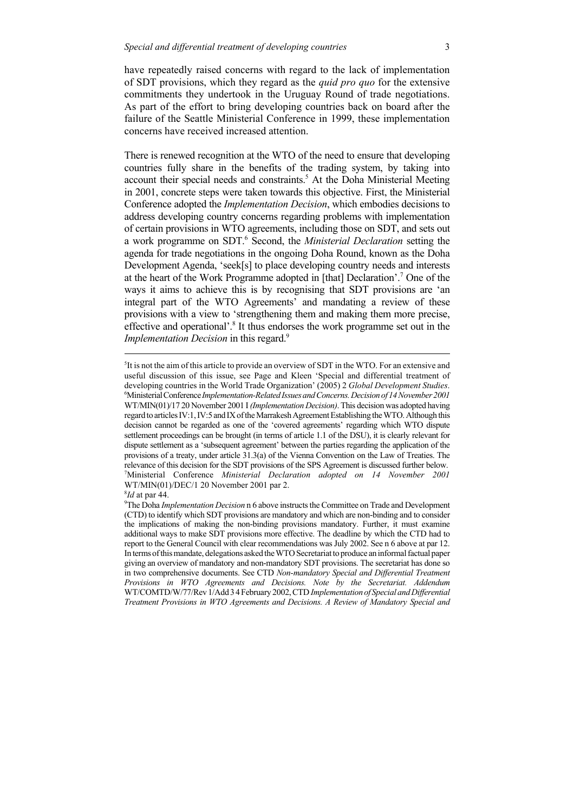have repeatedly raised concerns with regard to the lack of implementation of SDT provisions, which they regard as the *quid pro quo* for the extensive commitments they undertook in the Uruguay Round of trade negotiations. As part of the effort to bring developing countries back on board after the failure of the Seattle Ministerial Conference in 1999, these implementation concerns have received increased attention.

There is renewed recognition at the WTO of the need to ensure that developing countries fully share in the benefits of the trading system, by taking into account their special needs and constraints.<sup>5</sup> At the Doha Ministerial Meeting in 2001, concrete steps were taken towards this objective. First, the Ministerial Conference adopted the *Implementation Decision*, which embodies decisions to address developing country concerns regarding problems with implementation of certain provisions in WTO agreements, including those on SDT, and sets out a work programme on SDT.<sup>6</sup> Second, the *Ministerial Declaration* setting the agenda for trade negotiations in the ongoing Doha Round, known as the Doha Development Agenda, 'seek[s] to place developing country needs and interests at the heart of the Work Programme adopted in [that] Declaration'.7 One of the ways it aims to achieve this is by recognising that SDT provisions are 'an integral part of the WTO Agreements' and mandating a review of these provisions with a view to 'strengthening them and making them more precise, effective and operational'.<sup>8</sup> It thus endorses the work programme set out in the *Implementation Decision* in this regard.<sup>9</sup>

<sup>&</sup>lt;sup>5</sup>It is not the aim of this article to provide an overview of SDT in the WTO. For an extensive and useful discussion of this issue, see Page and Kleen 'Special and differential treatment of developing countries in the World Trade Organization' (2005) 2 *Global Development Studies*. 6 Ministerial Conference *Implementation-Related Issues and Concerns. Decision of 14 November 2001* WT/MIN(01)/17 20 November 2001 I *(Implementation Decision)*. This decision was adopted having regard to articles IV:1, IV:5 and IX of the Marrakesh Agreement Establishing the WTO. Although this decision cannot be regarded as one of the 'covered agreements' regarding which WTO dispute settlement proceedings can be brought (in terms of article 1.1 of the DSU), it is clearly relevant for dispute settlement as a 'subsequent agreement' between the parties regarding the application of the provisions of a treaty, under article 31.3(a) of the Vienna Convention on the Law of Treaties. The relevance of this decision for the SDT provisions of the SPS Agreement is discussed further below. 7 Ministerial Conference *Ministerial Declaration adopted on 14 November 2001* WT/MIN(01)/DEC/1 20 November 2001 par 2.

<sup>8</sup> *Id* at par 44.

<sup>9</sup> The Doha *Implementation Decision* n 6 above instructs the Committee on Trade and Development (CTD) to identify which SDT provisions are mandatory and which are non-binding and to consider the implications of making the non-binding provisions mandatory. Further, it must examine additional ways to make SDT provisions more effective. The deadline by which the CTD had to report to the General Council with clear recommendations was July 2002. See n 6 above at par 12. In terms of this mandate, delegations asked the WTO Secretariat to produce an informal factual paper giving an overview of mandatory and non-mandatory SDT provisions. The secretariat has done so in two comprehensive documents. See CTD *Non-mandatory Special and Differential Treatment Provisions in WTO Agreements and Decisions. Note by the Secretariat. Addendum* WT/COMTD/W/77/Rev 1/Add 3 4 February 2002, CTD *Implementation of Special and Differential Treatment Provisions in WTO Agreements and Decisions. A Review of Mandatory Special and*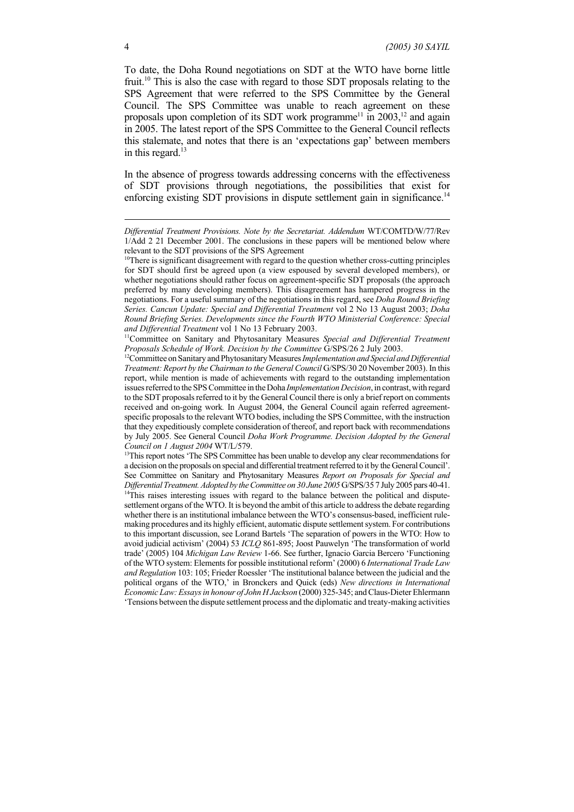To date, the Doha Round negotiations on SDT at the WTO have borne little fruit.<sup>10</sup> This is also the case with regard to those SDT proposals relating to the SPS Agreement that were referred to the SPS Committee by the General Council. The SPS Committee was unable to reach agreement on these proposals upon completion of its SDT work programme<sup>11</sup> in 2003,<sup>12</sup> and again in 2005. The latest report of the SPS Committee to the General Council reflects this stalemate, and notes that there is an 'expectations gap' between members in this regard.<sup>13</sup>

In the absence of progress towards addressing concerns with the effectiveness of SDT provisions through negotiations, the possibilities that exist for enforcing existing SDT provisions in dispute settlement gain in significance.<sup>14</sup>

<sup>13</sup>This report notes 'The SPS Committee has been unable to develop any clear recommendations for a decision on the proposals on special and differential treatment referred to it by the General Council'. See Committee on Sanitary and Phytosanitary Measures *Report on Proposals for Special and Differential Treatment. Adopted by the Committee on 30 June 2005* G/SPS/35 7 July 2005 pars 40-41. <sup>14</sup>This raises interesting issues with regard to the balance between the political and disputesettlement organs of the WTO. It is beyond the ambit of this article to address the debate regarding whether there is an institutional imbalance between the WTO's consensus-based, inefficient rulemaking procedures and its highly efficient, automatic dispute settlement system. For contributions to this important discussion, see Lorand Bartels 'The separation of powers in the WTO: How to avoid judicial activism' (2004) 53 *ICLQ* 861-895; Joost Pauwelyn 'The transformation of world trade' (2005) 104 *Michigan Law Review* 1-66. See further, Ignacio Garcia Bercero 'Functioning of the WTO system: Elements for possible institutional reform' (2000) 6 *International Trade Law and Regulation* 103: 105; Frieder Roessler 'The institutional balance between the judicial and the political organs of the WTO,' in Bronckers and Quick (eds) *New directions in International Economic Law: Essays in honour of John H Jackson* (2000) 325-345; and Claus-Dieter Ehlermann 'Tensions between the dispute settlement process and the diplomatic and treaty-making activities

*Differential Treatment Provisions. Note by the Secretariat. Addendum* WT/COMTD/W/77/Rev 1/Add 2 21 December 2001. The conclusions in these papers will be mentioned below where relevant to the SDT provisions of the SPS Agreement

<sup>&</sup>lt;sup>10</sup>There is significant disagreement with regard to the question whether cross-cutting principles for SDT should first be agreed upon (a view espoused by several developed members), or whether negotiations should rather focus on agreement-specific SDT proposals (the approach preferred by many developing members). This disagreement has hampered progress in the negotiations. For a useful summary of the negotiations in this regard, see *Doha Round Briefing Series. Cancun Update: Special and Differential Treatment* vol 2 No 13 August 2003; *Doha Round Briefing Series. Developments since the Fourth WTO Ministerial Conference: Special and Differential Treatment* vol 1 No 13 February 2003.

<sup>11</sup>Committee on Sanitary and Phytosanitary Measures *Special and Differential Treatment Proposals Schedule of Work. Decision by the Committee* G/SPS/26 2 July 2003.

<sup>&</sup>lt;sup>12</sup>Committee on Sanitary and Phytosanitary Measures *Implementation and Special and Differential Treatment: Report by the Chairman to the General Council* G/SPS/30 20 November 2003). In this report, while mention is made of achievements with regard to the outstanding implementation issues referred to the SPS Committee in the Doha *Implementation Decision*, in contrast, with regard to the SDT proposals referred to it by the General Council there is only a brief report on comments received and on-going work*.* In August 2004, the General Council again referred agreementspecific proposals to the relevant WTO bodies, including the SPS Committee, with the instruction that they expeditiously complete consideration of thereof, and report back with recommendations by July 2005. See General Council *Doha Work Programme. Decision Adopted by the General Council on 1 August 2004* WT/L/579.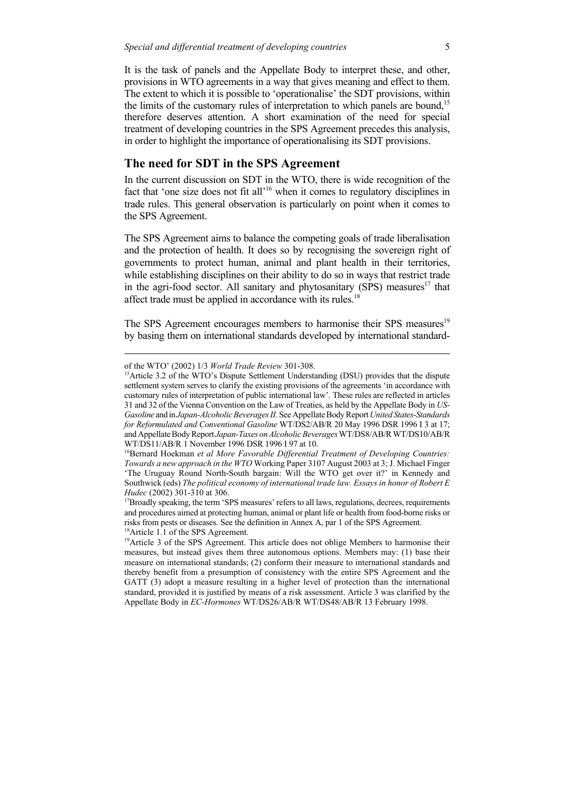It is the task of panels and the Appellate Body to interpret these, and other, provisions in WTO agreements in a way that gives meaning and effect to them. The extent to which it is possible to 'operationalise' the SDT provisions, within the limits of the customary rules of interpretation to which panels are bound,<sup>15</sup> therefore deserves attention. A short examination of the need for special treatment of developing countries in the SPS Agreement precedes this analysis, in order to highlight the importance of operationalising its SDT provisions.

## **The need for SDT in the SPS Agreement**

In the current discussion on SDT in the WTO, there is wide recognition of the fact that 'one size does not fit all'<sup>16</sup> when it comes to regulatory disciplines in trade rules. This general observation is particularly on point when it comes to the SPS Agreement.

The SPS Agreement aims to balance the competing goals of trade liberalisation and the protection of health. It does so by recognising the sovereign right of governments to protect human, animal and plant health in their territories, while establishing disciplines on their ability to do so in ways that restrict trade in the agri-food sector. All sanitary and phytosanitary  $(SPS)$  measures<sup>17</sup> that affect trade must be applied in accordance with its rules.<sup>18</sup>

The SPS Agreement encourages members to harmonise their SPS measures<sup>19</sup> by basing them on international standards developed by international standard-

of the WTO' (2002) 1/3 *World Trade Review* 301-308.

<sup>&</sup>lt;sup>15</sup>Article 3.2 of the WTO's Dispute Settlement Understanding (DSU) provides that the dispute settlement system serves to clarify the existing provisions of the agreements 'in accordance with customary rules of interpretation of public international law'. These rules are reflected in articles 31 and 32 of the Vienna Convention on the Law of Treaties, as held by the Appellate Body in *US-Gasoline* and in *Japan-Alcoholic Beverages II*. See Appellate Body Report *United States-Standards for Reformulated and Conventional Gasoline* WT/DS2/AB/R 20 May 1996 DSR 1996 I 3 at 17; and Appellate Body Report *Japan-Taxes on Alcoholic Beverages* WT/DS8/AB/R WT/DS10/AB/R WT/DS11/AB/R 1 November 1996 DSR 1996 I 97 at 10.

<sup>16</sup>Bernard Hoekman *et al More Favorable Differential Treatment of Developing Countries: Towards a new approach in the WTO* Working Paper 3107 August 2003 at 3; J. Michael Finger 'The Uruguay Round North-South bargain: Will the WTO get over it?' in Kennedy and Southwick (eds) *The political economy of international trade law. Essays in honor of Robert E Hudec* (2002) 301-310 at 306.

<sup>&</sup>lt;sup>17</sup>Broadly speaking, the term 'SPS measures' refers to all laws, regulations, decrees, requirements and procedures aimed at protecting human, animal or plant life or health from food-borne risks or risks from pests or diseases. See the definition in Annex A, par 1 of the SPS Agreement. <sup>18</sup>Article 1.1 of the SPS Agreement.

<sup>&</sup>lt;sup>19</sup>Article 3 of the SPS Agreement. This article does not oblige Members to harmonise their measures, but instead gives them three autonomous options. Members may: (1) base their measure on international standards; (2) conform their measure to international standards and thereby benefit from a presumption of consistency with the entire SPS Agreement and the GATT (3) adopt a measure resulting in a higher level of protection than the international standard, provided it is justified by means of a risk assessment. Article 3 was clarified by the Appellate Body in *EC-Hormones* WT/DS26/AB/R WT/DS48/AB/R 13 February 1998.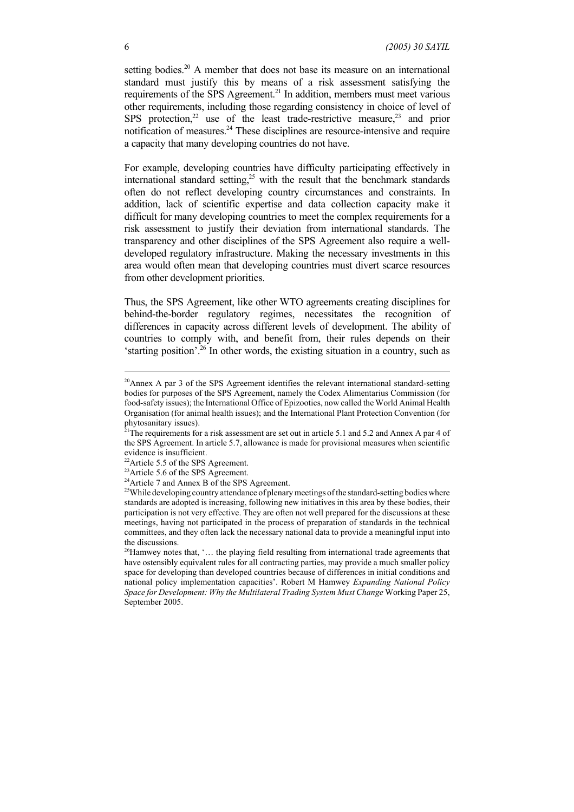setting bodies.<sup>20</sup> A member that does not base its measure on an international standard must justify this by means of a risk assessment satisfying the requirements of the SPS Agreement.<sup>21</sup> In addition, members must meet various other requirements, including those regarding consistency in choice of level of SPS protection,<sup>22</sup> use of the least trade-restrictive measure,<sup>23</sup> and prior notification of measures.<sup>24</sup> These disciplines are resource-intensive and require a capacity that many developing countries do not have.

For example, developing countries have difficulty participating effectively in international standard setting, $25$  with the result that the benchmark standards often do not reflect developing country circumstances and constraints. In addition, lack of scientific expertise and data collection capacity make it difficult for many developing countries to meet the complex requirements for a risk assessment to justify their deviation from international standards. The transparency and other disciplines of the SPS Agreement also require a welldeveloped regulatory infrastructure. Making the necessary investments in this area would often mean that developing countries must divert scarce resources from other development priorities.

Thus, the SPS Agreement, like other WTO agreements creating disciplines for behind-the-border regulatory regimes, necessitates the recognition of differences in capacity across different levels of development. The ability of countries to comply with, and benefit from, their rules depends on their 'starting position'.26 In other words, the existing situation in a country, such as

<sup>&</sup>lt;sup>20</sup>Annex A par 3 of the SPS Agreement identifies the relevant international standard-setting bodies for purposes of the SPS Agreement, namely the Codex Alimentarius Commission (for food-safety issues); the International Office of Epizootics, now called the World Animal Health Organisation (for animal health issues); and the International Plant Protection Convention (for phytosanitary issues).

<sup>&</sup>lt;sup>21</sup>The requirements for a risk assessment are set out in article 5.1 and 5.2 and Annex A par 4 of the SPS Agreement. In article 5.7, allowance is made for provisional measures when scientific evidence is insufficient.

<sup>&</sup>lt;sup>22</sup>Article 5.5 of the SPS Agreement.

<sup>&</sup>lt;sup>23</sup>Article 5.6 of the SPS Agreement.

<sup>&</sup>lt;sup>24</sup>Article 7 and Annex B of the SPS Agreement.

<sup>&</sup>lt;sup>25</sup>While developing country attendance of plenary meetings of the standard-setting bodies where standards are adopted is increasing, following new initiatives in this area by these bodies, their participation is not very effective. They are often not well prepared for the discussions at these meetings, having not participated in the process of preparation of standards in the technical committees, and they often lack the necessary national data to provide a meaningful input into the discussions.

 $26$ Hamwey notes that, '... the playing field resulting from international trade agreements that have ostensibly equivalent rules for all contracting parties, may provide a much smaller policy space for developing than developed countries because of differences in initial conditions and national policy implementation capacities'. Robert M Hamwey *Expanding National Policy Space for Development: Why the Multilateral Trading System Must Change* Working Paper 25, September 2005.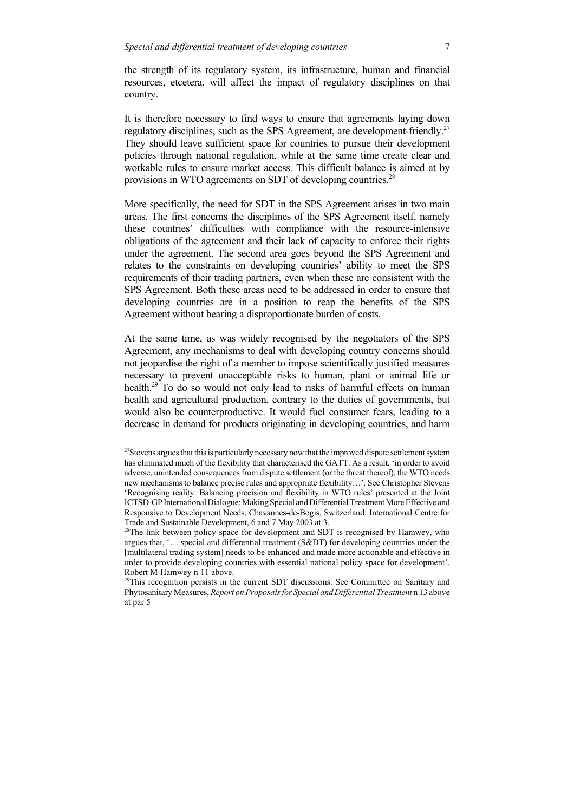the strength of its regulatory system, its infrastructure, human and financial resources, etcetera, will affect the impact of regulatory disciplines on that country.

It is therefore necessary to find ways to ensure that agreements laying down regulatory disciplines, such as the SPS Agreement, are development-friendly.<sup>27</sup> They should leave sufficient space for countries to pursue their development policies through national regulation, while at the same time create clear and workable rules to ensure market access. This difficult balance is aimed at by provisions in WTO agreements on SDT of developing countries.<sup>28</sup>

More specifically, the need for SDT in the SPS Agreement arises in two main areas. The first concerns the disciplines of the SPS Agreement itself, namely these countries' difficulties with compliance with the resource-intensive obligations of the agreement and their lack of capacity to enforce their rights under the agreement. The second area goes beyond the SPS Agreement and relates to the constraints on developing countries' ability to meet the SPS requirements of their trading partners, even when these are consistent with the SPS Agreement. Both these areas need to be addressed in order to ensure that developing countries are in a position to reap the benefits of the SPS Agreement without bearing a disproportionate burden of costs.

At the same time, as was widely recognised by the negotiators of the SPS Agreement, any mechanisms to deal with developing country concerns should not jeopardise the right of a member to impose scientifically justified measures necessary to prevent unacceptable risks to human, plant or animal life or health.<sup>29</sup> To do so would not only lead to risks of harmful effects on human health and agricultural production, contrary to the duties of governments, but would also be counterproductive. It would fuel consumer fears, leading to a decrease in demand for products originating in developing countries, and harm

 $27$ Stevens argues that this is particularly necessary now that the improved dispute settlement system has eliminated much of the flexibility that characterised the GATT. As a result, 'in order to avoid adverse, unintended consequences from dispute settlement (or the threat thereof), the WTO needs new mechanisms to balance precise rules and appropriate flexibility…'. See Christopher Stevens 'Recognising reality: Balancing precision and flexibility in WTO rules' presented at the Joint ICTSD-GP International Dialogue: Making Special and Differential Treatment More Effective and Responsive to Development Needs, Chavannes-de-Bogis, Switzerland: International Centre for Trade and Sustainable Development, 6 and 7 May 2003 at 3.

<sup>&</sup>lt;sup>28</sup>The link between policy space for development and SDT is recognised by Hamwey, who argues that, '… special and differential treatment (S&DT) for developing countries under the [multilateral trading system] needs to be enhanced and made more actionable and effective in order to provide developing countries with essential national policy space for development'. Robert M Hamwey n 11 above.

 $29$ This recognition persists in the current SDT discussions. See Committee on Sanitary and Phytosanitary Measures, *Report on Proposals for Special and Differential Treatment n* 13 above at par 5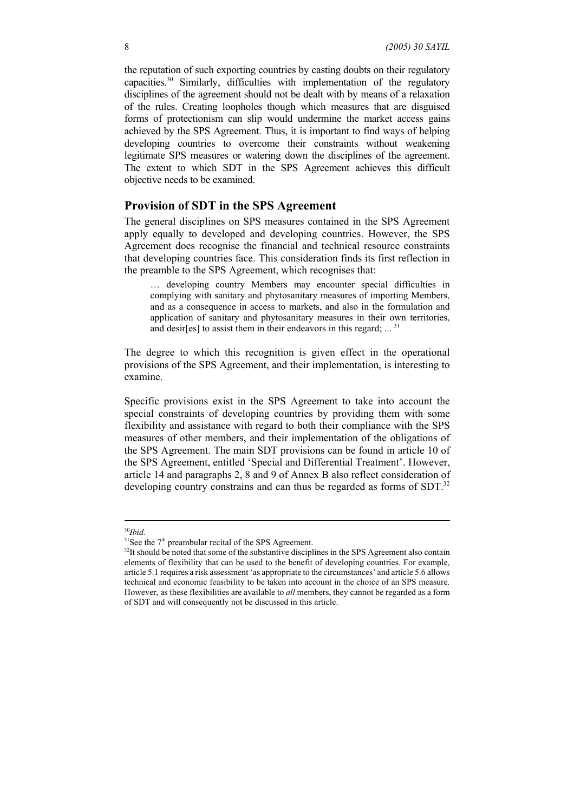the reputation of such exporting countries by casting doubts on their regulatory capacities.30 Similarly, difficulties with implementation of the regulatory disciplines of the agreement should not be dealt with by means of a relaxation of the rules. Creating loopholes though which measures that are disguised forms of protectionism can slip would undermine the market access gains achieved by the SPS Agreement. Thus, it is important to find ways of helping developing countries to overcome their constraints without weakening legitimate SPS measures or watering down the disciplines of the agreement. The extent to which SDT in the SPS Agreement achieves this difficult objective needs to be examined.

### **Provision of SDT in the SPS Agreement**

The general disciplines on SPS measures contained in the SPS Agreement apply equally to developed and developing countries. However, the SPS Agreement does recognise the financial and technical resource constraints that developing countries face. This consideration finds its first reflection in the preamble to the SPS Agreement, which recognises that:

… developing country Members may encounter special difficulties in complying with sanitary and phytosanitary measures of importing Members, and as a consequence in access to markets, and also in the formulation and application of sanitary and phytosanitary measures in their own territories, and desir[es] to assist them in their endeavors in this regard; ...<sup>31</sup>

The degree to which this recognition is given effect in the operational provisions of the SPS Agreement, and their implementation, is interesting to examine.

Specific provisions exist in the SPS Agreement to take into account the special constraints of developing countries by providing them with some flexibility and assistance with regard to both their compliance with the SPS measures of other members, and their implementation of the obligations of the SPS Agreement. The main SDT provisions can be found in article 10 of the SPS Agreement, entitled 'Special and Differential Treatment'. However, article 14 and paragraphs 2, 8 and 9 of Annex B also reflect consideration of developing country constrains and can thus be regarded as forms of SDT.<sup>32</sup>

<sup>30</sup>*Ibid.*

 $31$ See the  $7<sup>th</sup>$  preambular recital of the SPS Agreement.

 $32$ It should be noted that some of the substantive disciplines in the SPS Agreement also contain elements of flexibility that can be used to the benefit of developing countries. For example, article 5.1 requires a risk assessment 'as appropriate to the circumstances' and article 5.6 allows technical and economic feasibility to be taken into account in the choice of an SPS measure. However, as these flexibilities are available to *all* members, they cannot be regarded as a form of SDT and will consequently not be discussed in this article.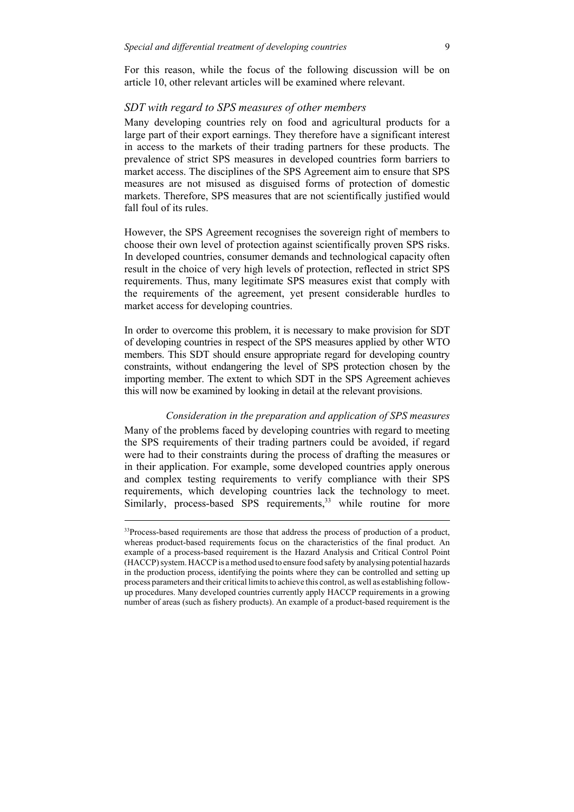For this reason, while the focus of the following discussion will be on article 10, other relevant articles will be examined where relevant.

#### *SDT with regard to SPS measures of other members*

Many developing countries rely on food and agricultural products for a large part of their export earnings. They therefore have a significant interest in access to the markets of their trading partners for these products. The prevalence of strict SPS measures in developed countries form barriers to market access. The disciplines of the SPS Agreement aim to ensure that SPS measures are not misused as disguised forms of protection of domestic markets. Therefore, SPS measures that are not scientifically justified would fall foul of its rules.

However, the SPS Agreement recognises the sovereign right of members to choose their own level of protection against scientifically proven SPS risks. In developed countries, consumer demands and technological capacity often result in the choice of very high levels of protection, reflected in strict SPS requirements. Thus, many legitimate SPS measures exist that comply with the requirements of the agreement, yet present considerable hurdles to market access for developing countries.

In order to overcome this problem, it is necessary to make provision for SDT of developing countries in respect of the SPS measures applied by other WTO members. This SDT should ensure appropriate regard for developing country constraints, without endangering the level of SPS protection chosen by the importing member. The extent to which SDT in the SPS Agreement achieves this will now be examined by looking in detail at the relevant provisions.

#### *Consideration in the preparation and application of SPS measures*

Many of the problems faced by developing countries with regard to meeting the SPS requirements of their trading partners could be avoided, if regard were had to their constraints during the process of drafting the measures or in their application. For example, some developed countries apply onerous and complex testing requirements to verify compliance with their SPS requirements, which developing countries lack the technology to meet. Similarly, process-based SPS requirements,<sup>33</sup> while routine for more

<sup>&</sup>lt;sup>33</sup>Process-based requirements are those that address the process of production of a product, whereas product-based requirements focus on the characteristics of the final product. An example of a process-based requirement is the Hazard Analysis and Critical Control Point (HACCP) system. HACCP is a method used to ensure food safety by analysing potential hazards in the production process, identifying the points where they can be controlled and setting up process parameters and their critical limits to achieve this control, as well as establishing followup procedures. Many developed countries currently apply HACCP requirements in a growing number of areas (such as fishery products). An example of a product-based requirement is the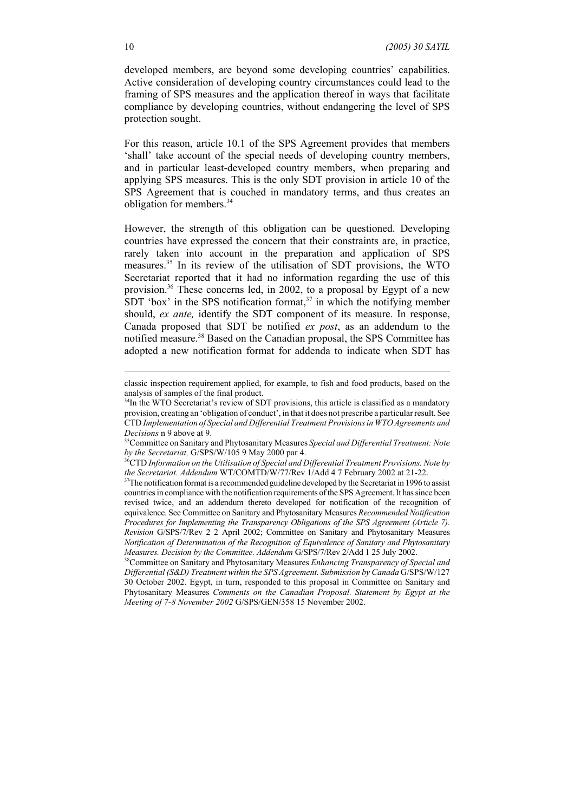developed members, are beyond some developing countries' capabilities. Active consideration of developing country circumstances could lead to the framing of SPS measures and the application thereof in ways that facilitate compliance by developing countries, without endangering the level of SPS protection sought.

For this reason, article 10.1 of the SPS Agreement provides that members 'shall' take account of the special needs of developing country members, and in particular least-developed country members, when preparing and applying SPS measures. This is the only SDT provision in article 10 of the SPS Agreement that is couched in mandatory terms, and thus creates an obligation for members.<sup>34</sup>

However, the strength of this obligation can be questioned. Developing countries have expressed the concern that their constraints are, in practice, rarely taken into account in the preparation and application of SPS measures.35 In its review of the utilisation of SDT provisions, the WTO Secretariat reported that it had no information regarding the use of this provision.<sup>36</sup> These concerns led, in 2002, to a proposal by Egypt of a new SDT 'box' in the SPS notification format,<sup>37</sup> in which the notifying member should, *ex ante,* identify the SDT component of its measure. In response, Canada proposed that SDT be notified *ex post*, as an addendum to the notified measure.<sup>38</sup> Based on the Canadian proposal, the SPS Committee has adopted a new notification format for addenda to indicate when SDT has

classic inspection requirement applied, for example, to fish and food products, based on the analysis of samples of the final product.

<sup>&</sup>lt;sup>34</sup>In the WTO Secretariat's review of SDT provisions, this article is classified as a mandatory provision, creating an 'obligation of conduct', in that it does not prescribe a particular result. See CTD *Implementation of Special and Differential Treatment Provisions in WTO Agreements and*

*Decisions* n 9 above at 9.<br><sup>35</sup>Committee on Sanitary and Phytosanitary Measures *Special and Differential Treatment: Note by the Secretariat,* G/SPS/W/105 9 May 2000 par 4.

<sup>&</sup>lt;sup>36</sup>CTD Information on the Utilisation of Special and Differential Treatment Provisions. Note by *the Secretariat. Addendum* WT/COMTD/W/77/Rev 1/Add 4 7 February 2002 at 21-22.

<sup>&</sup>lt;sup>37</sup>The notification format is a recommended guideline developed by the Secretariat in 1996 to assist countries in compliance with the notification requirements of the SPS Agreement. It has since been revised twice, and an addendum thereto developed for notification of the recognition of equivalence. See Committee on Sanitary and Phytosanitary Measures *Recommended Notification Procedures for Implementing the Transparency Obligations of the SPS Agreement (Article 7). Revision* G/SPS/7/Rev 2 2 April 2002; Committee on Sanitary and Phytosanitary Measures *Notification of Determination of the Recognition of Equivalence of Sanitary and Phytosanitary Measures. Decision by the Committee. Addendum* G/SPS/7/Rev 2/Add 1 25 July 2002.

<sup>38</sup>Committee on Sanitary and Phytosanitary Measures *Enhancing Transparency of Special and Differential (S&D) Treatment within the SPS Agreement. Submission by Canada* G/SPS/W/127 30 October 2002. Egypt, in turn, responded to this proposal in Committee on Sanitary and Phytosanitary Measures *Comments on the Canadian Proposal. Statement by Egypt at the Meeting of 7-8 November 2002* G/SPS/GEN/358 15 November 2002.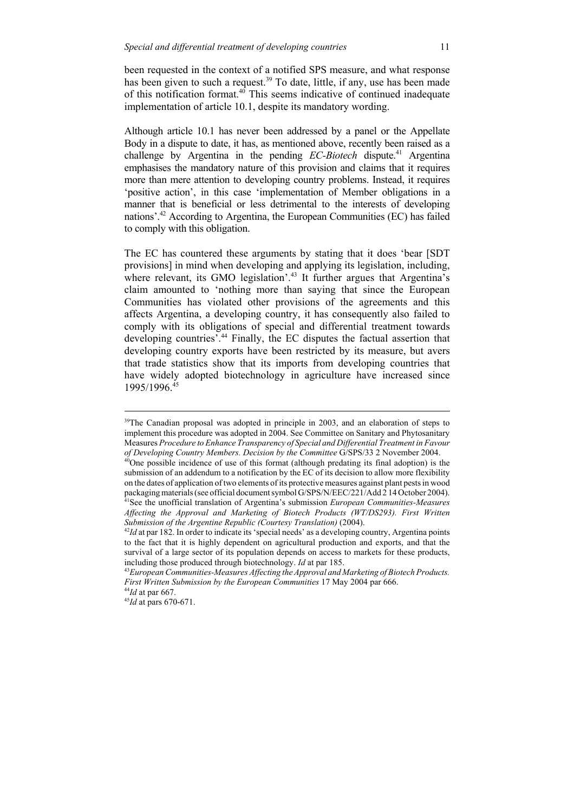been requested in the context of a notified SPS measure, and what response has been given to such a request.<sup>39</sup> To date, little, if any, use has been made of this notification format.<sup>40</sup> This seems indicative of continued inadequate implementation of article 10.1, despite its mandatory wording.

Although article 10.1 has never been addressed by a panel or the Appellate Body in a dispute to date, it has, as mentioned above, recently been raised as a challenge by Argentina in the pending *EC-Biotech* dispute.<sup>41</sup> Argentina emphasises the mandatory nature of this provision and claims that it requires more than mere attention to developing country problems. Instead, it requires 'positive action', in this case 'implementation of Member obligations in a manner that is beneficial or less detrimental to the interests of developing nations'.42 According to Argentina, the European Communities (EC) has failed to comply with this obligation.

The EC has countered these arguments by stating that it does 'bear [SDT provisions] in mind when developing and applying its legislation, including, where relevant, its GMO legislation'.<sup>43</sup> It further argues that Argentina's claim amounted to 'nothing more than saying that since the European Communities has violated other provisions of the agreements and this affects Argentina, a developing country, it has consequently also failed to comply with its obligations of special and differential treatment towards developing countries<sup>7</sup>.<sup>44</sup> Finally, the EC disputes the factual assertion that developing country exports have been restricted by its measure, but avers that trade statistics show that its imports from developing countries that have widely adopted biotechnology in agriculture have increased since 1995/1996.45

<sup>44</sup>*Id* at par 667.

<sup>45</sup>*Id* at pars 670-671.

 $39$ The Canadian proposal was adopted in principle in 2003, and an elaboration of steps to implement this procedure was adopted in 2004. See Committee on Sanitary and Phytosanitary Measures *Procedure to Enhance Transparency of Special and Differential Treatment in Favour of Developing Country Members. Decision by the Committee* G/SPS/33 2 November 2004.

 $40$ One possible incidence of use of this format (although predating its final adoption) is the submission of an addendum to a notification by the EC of its decision to allow more flexibility on the dates of application of two elements of its protective measures against plant pests in wood packaging materials (see official document symbol G/SPS/N/EEC/221/Add 2 14 October 2004). 41See the unofficial translation of Argentina's submission *European Communities-Measures Affecting the Approval and Marketing of Biotech Products (WT/DS293). First Written*

*Submission of the Argentine Republic (Courtesy Translation)* (2004).<br><sup>42</sup>*Id* at par 182. In order to indicate its 'special needs' as a developing country, Argentina points to the fact that it is highly dependent on agricultural production and exports, and that the survival of a large sector of its population depends on access to markets for these products, including those produced through biotechnology. *Id* at par 185.

<sup>43</sup>*European Communities-Measures Affecting the Approval and Marketing of Biotech Products. First Written Submission by the European Communities* 17 May 2004 par 666.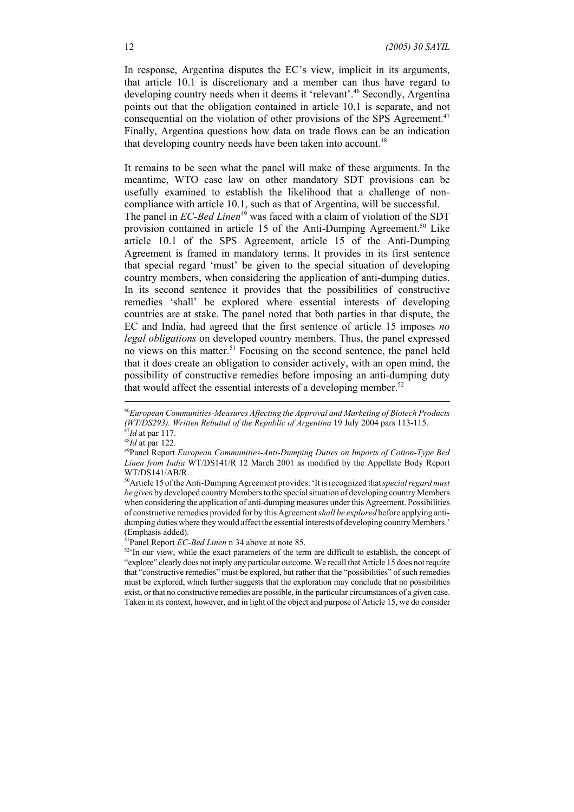In response, Argentina disputes the EC's view, implicit in its arguments, that article 10.1 is discretionary and a member can thus have regard to developing country needs when it deems it 'relevant'.<sup>46</sup> Secondly, Argentina points out that the obligation contained in article 10.1 is separate, and not consequential on the violation of other provisions of the SPS Agreement.<sup>47</sup> Finally, Argentina questions how data on trade flows can be an indication that developing country needs have been taken into account.<sup>48</sup>

It remains to be seen what the panel will make of these arguments. In the meantime, WTO case law on other mandatory SDT provisions can be usefully examined to establish the likelihood that a challenge of noncompliance with article 10.1, such as that of Argentina, will be successful. The panel in *EC-Bed Linen*<sup>49</sup> was faced with a claim of violation of the SDT provision contained in article 15 of the Anti-Dumping Agreement.<sup>50</sup> Like article 10.1 of the SPS Agreement, article 15 of the Anti-Dumping Agreement is framed in mandatory terms. It provides in its first sentence that special regard 'must' be given to the special situation of developing country members, when considering the application of anti-dumping duties. In its second sentence it provides that the possibilities of constructive remedies 'shall' be explored where essential interests of developing countries are at stake. The panel noted that both parties in that dispute, the EC and India, had agreed that the first sentence of article 15 imposes *no legal obligations* on developed country members. Thus, the panel expressed no views on this matter.<sup>51</sup> Focusing on the second sentence, the panel held that it does create an obligation to consider actively, with an open mind, the possibility of constructive remedies before imposing an anti-dumping duty that would affect the essential interests of a developing member.<sup>52</sup>

<sup>46</sup>*European Communities-Measures Affecting the Approval and Marketing of Biotech Products (WT/DS293). Written Rebuttal of the Republic of Argentina* 19 July 2004 pars 113-115. <sup>47</sup>*Id* at par 117.

<sup>48</sup>*Id* at par 122.

<sup>49</sup>Panel Report *European Communities-Anti-Dumping Duties on Imports of Cotton-Type Bed Linen from India* WT/DS141/R 12 March 2001 as modified by the Appellate Body Report WT/DS141/AB/R.

<sup>50</sup>Article 15 of the Anti-Dumping Agreement provides: 'It is recognized that *special regard must be given* by developed country Members to the special situation of developing country Members when considering the application of anti-dumping measures under this Agreement. Possibilities of constructive remedies provided for by this Agreement *shall be explored* before applying antidumping duties where they would affect the essential interests of developing country Members.' (Emphasis added).

<sup>51</sup>Panel Report *EC-Bed Linen* n 34 above at note 85.

 $52\textdegree$ In our view, while the exact parameters of the term are difficult to establish, the concept of "explore" clearly does not imply any particular outcome. We recall that Article 15 does not require that "constructive remedies" must be explored, but rather that the "possibilities" of such remedies must be explored, which further suggests that the exploration may conclude that no possibilities exist, or that no constructive remedies are possible, in the particular circumstances of a given case. Taken in its context, however, and in light of the object and purpose of Article 15, we do consider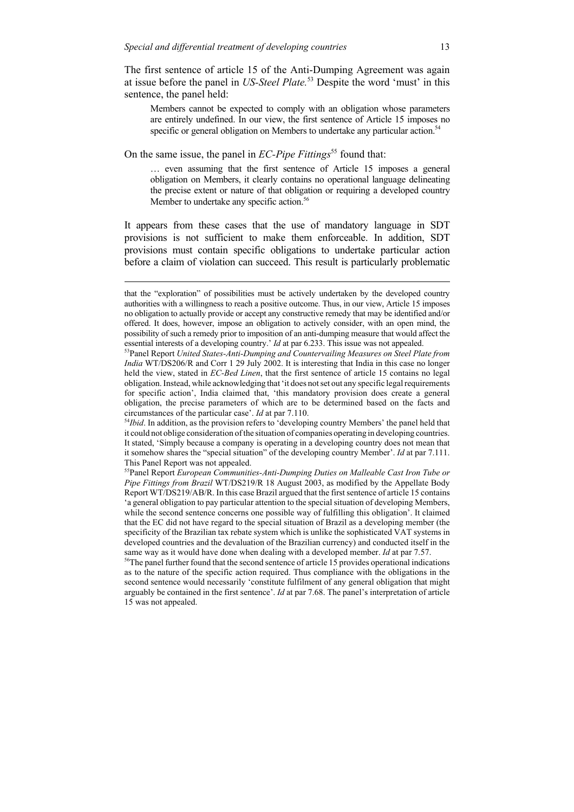The first sentence of article 15 of the Anti-Dumping Agreement was again at issue before the panel in *US-Steel Plate.*53 Despite the word 'must' in this sentence, the panel held:

Members cannot be expected to comply with an obligation whose parameters are entirely undefined. In our view, the first sentence of Article 15 imposes no specific or general obligation on Members to undertake any particular action.<sup>54</sup>

On the same issue, the panel in *EC-Pipe Fittings*<sup>55</sup> found that:

… even assuming that the first sentence of Article 15 imposes a general obligation on Members, it clearly contains no operational language delineating the precise extent or nature of that obligation or requiring a developed country Member to undertake any specific action.<sup>56</sup>

It appears from these cases that the use of mandatory language in SDT provisions is not sufficient to make them enforceable. In addition, SDT provisions must contain specific obligations to undertake particular action before a claim of violation can succeed. This result is particularly problematic

that the "exploration" of possibilities must be actively undertaken by the developed country authorities with a willingness to reach a positive outcome. Thus, in our view, Article 15 imposes no obligation to actually provide or accept any constructive remedy that may be identified and/or offered. It does, however, impose an obligation to actively consider, with an open mind, the possibility of such a remedy prior to imposition of an anti-dumping measure that would affect the essential interests of a developing country.' *Id* at par 6.233. This issue was not appealed.

<sup>53</sup>Panel Report *United States-Anti-Dumping and Countervailing Measures on Steel Plate from India* WT/DS206/R and Corr 1 29 July 2002. It is interesting that India in this case no longer held the view, stated in *EC-Bed Linen*, that the first sentence of article 15 contains no legal obligation. Instead, while acknowledging that 'it does not set out any specific legal requirements for specific action', India claimed that, 'this mandatory provision does create a general obligation, the precise parameters of which are to be determined based on the facts and circumstances of the particular case'. *Id* at par 7.110.

<sup>&</sup>lt;sup>54</sup>Ibid. In addition, as the provision refers to 'developing country Members' the panel held that it could not oblige consideration of the situation of companies operating in developing countries. It stated, 'Simply because a company is operating in a developing country does not mean that it somehow shares the "special situation" of the developing country Member'. *Id* at par 7.111. This Panel Report was not appealed.

<sup>55</sup>Panel Report *European Communities-Anti-Dumping Duties on Malleable Cast Iron Tube or Pipe Fittings from Brazil* WT/DS219/R 18 August 2003, as modified by the Appellate Body Report WT/DS219/AB/R. In this case Brazil argued that the first sentence of article 15 contains 'a general obligation to pay particular attention to the special situation of developing Members, while the second sentence concerns one possible way of fulfilling this obligation'. It claimed that the EC did not have regard to the special situation of Brazil as a developing member (the specificity of the Brazilian tax rebate system which is unlike the sophisticated VAT systems in developed countries and the devaluation of the Brazilian currency) and conducted itself in the same way as it would have done when dealing with a developed member. *Id* at par 7.57.

<sup>&</sup>lt;sup>56</sup>The panel further found that the second sentence of article 15 provides operational indications as to the nature of the specific action required. Thus compliance with the obligations in the second sentence would necessarily 'constitute fulfilment of any general obligation that might arguably be contained in the first sentence'. *Id* at par 7.68. The panel's interpretation of article 15 was not appealed.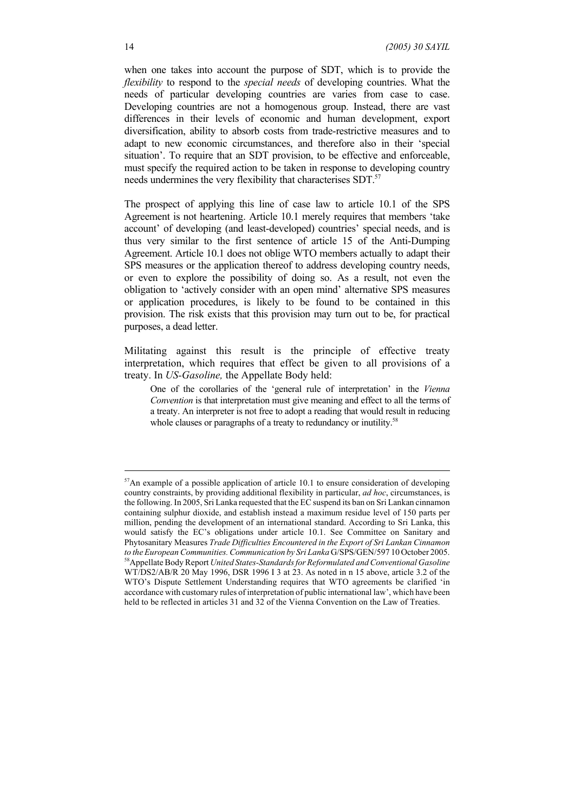when one takes into account the purpose of SDT, which is to provide the *flexibility* to respond to the *special needs* of developing countries. What the needs of particular developing countries are varies from case to case. Developing countries are not a homogenous group. Instead, there are vast differences in their levels of economic and human development, export diversification, ability to absorb costs from trade-restrictive measures and to adapt to new economic circumstances, and therefore also in their 'special situation'. To require that an SDT provision, to be effective and enforceable, must specify the required action to be taken in response to developing country needs undermines the very flexibility that characterises SDT.<sup>57</sup>

The prospect of applying this line of case law to article 10.1 of the SPS Agreement is not heartening. Article 10.1 merely requires that members 'take account' of developing (and least-developed) countries' special needs, and is thus very similar to the first sentence of article 15 of the Anti-Dumping Agreement. Article 10.1 does not oblige WTO members actually to adapt their SPS measures or the application thereof to address developing country needs, or even to explore the possibility of doing so. As a result, not even the obligation to 'actively consider with an open mind' alternative SPS measures or application procedures, is likely to be found to be contained in this provision. The risk exists that this provision may turn out to be, for practical purposes, a dead letter.

Militating against this result is the principle of effective treaty interpretation, which requires that effect be given to all provisions of a treaty. In *US-Gasoline,* the Appellate Body held:

One of the corollaries of the 'general rule of interpretation' in the *Vienna Convention* is that interpretation must give meaning and effect to all the terms of a treaty. An interpreter is not free to adopt a reading that would result in reducing whole clauses or paragraphs of a treaty to redundancy or inutility.<sup>58</sup>

<sup>&</sup>lt;sup>57</sup>An example of a possible application of article 10.1 to ensure consideration of developing country constraints, by providing additional flexibility in particular, *ad hoc*, circumstances, is the following. In 2005, Sri Lanka requested that the EC suspend its ban on Sri Lankan cinnamon containing sulphur dioxide, and establish instead a maximum residue level of 150 parts per million, pending the development of an international standard. According to Sri Lanka, this would satisfy the EC's obligations under article 10.1. See Committee on Sanitary and Phytosanitary Measures *Trade Difficulties Encountered in the Export of Sri Lankan Cinnamon to the European Communities. Communication by Sri Lanka* G/SPS/GEN/597 10 October 2005. 58Appellate Body Report *United States-Standards for Reformulated and Conventional Gasoline* WT/DS2/AB/R 20 May 1996, DSR 1996 I 3 at 23. As noted in n 15 above, article 3.2 of the WTO's Dispute Settlement Understanding requires that WTO agreements be clarified 'in accordance with customary rules of interpretation of public international law', which have been held to be reflected in articles 31 and 32 of the Vienna Convention on the Law of Treaties.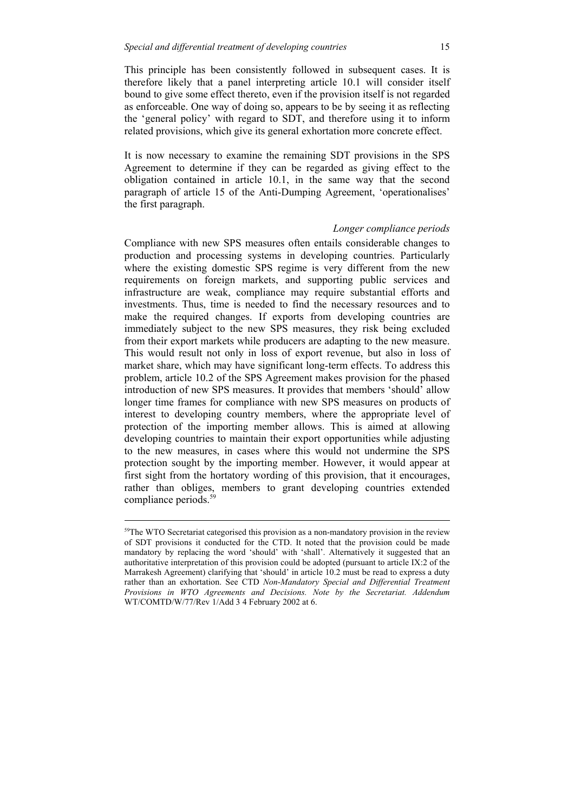This principle has been consistently followed in subsequent cases. It is therefore likely that a panel interpreting article 10.1 will consider itself bound to give some effect thereto, even if the provision itself is not regarded as enforceable. One way of doing so, appears to be by seeing it as reflecting the 'general policy' with regard to SDT, and therefore using it to inform related provisions, which give its general exhortation more concrete effect.

It is now necessary to examine the remaining SDT provisions in the SPS Agreement to determine if they can be regarded as giving effect to the obligation contained in article 10.1, in the same way that the second paragraph of article 15 of the Anti-Dumping Agreement, 'operationalises' the first paragraph.

#### *Longer compliance periods*

Compliance with new SPS measures often entails considerable changes to production and processing systems in developing countries. Particularly where the existing domestic SPS regime is very different from the new requirements on foreign markets, and supporting public services and infrastructure are weak, compliance may require substantial efforts and investments. Thus, time is needed to find the necessary resources and to make the required changes. If exports from developing countries are immediately subject to the new SPS measures, they risk being excluded from their export markets while producers are adapting to the new measure. This would result not only in loss of export revenue, but also in loss of market share, which may have significant long-term effects. To address this problem, article 10.2 of the SPS Agreement makes provision for the phased introduction of new SPS measures. It provides that members 'should' allow longer time frames for compliance with new SPS measures on products of interest to developing country members, where the appropriate level of protection of the importing member allows. This is aimed at allowing developing countries to maintain their export opportunities while adjusting to the new measures, in cases where this would not undermine the SPS protection sought by the importing member. However, it would appear at first sight from the hortatory wording of this provision, that it encourages, rather than obliges, members to grant developing countries extended compliance periods.59

<sup>&</sup>lt;sup>59</sup>The WTO Secretariat categorised this provision as a non-mandatory provision in the review of SDT provisions it conducted for the CTD. It noted that the provision could be made mandatory by replacing the word 'should' with 'shall'. Alternatively it suggested that an authoritative interpretation of this provision could be adopted (pursuant to article IX:2 of the Marrakesh Agreement) clarifying that 'should' in article 10.2 must be read to express a duty rather than an exhortation. See CTD *Non-Mandatory Special and Differential Treatment Provisions in WTO Agreements and Decisions. Note by the Secretariat. Addendum* WT/COMTD/W/77/Rev 1/Add 3 4 February 2002 at 6.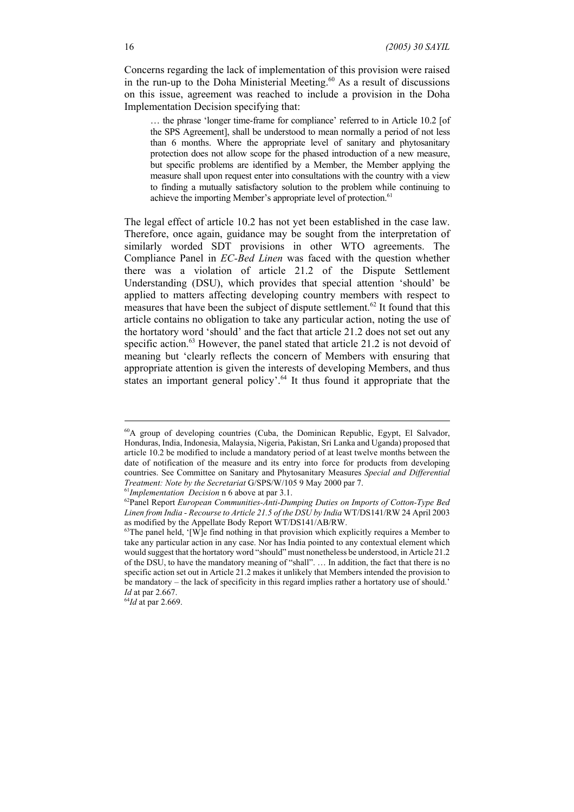Concerns regarding the lack of implementation of this provision were raised in the run-up to the Doha Ministerial Meeting.<sup>60</sup> As a result of discussions on this issue, agreement was reached to include a provision in the Doha Implementation Decision specifying that:

… the phrase 'longer time-frame for compliance' referred to in Article 10.2 [of the SPS Agreement], shall be understood to mean normally a period of not less than 6 months. Where the appropriate level of sanitary and phytosanitary protection does not allow scope for the phased introduction of a new measure, but specific problems are identified by a Member, the Member applying the measure shall upon request enter into consultations with the country with a view to finding a mutually satisfactory solution to the problem while continuing to achieve the importing Member's appropriate level of protection.<sup>61</sup>

The legal effect of article 10.2 has not yet been established in the case law. Therefore, once again, guidance may be sought from the interpretation of similarly worded SDT provisions in other WTO agreements. The Compliance Panel in *EC-Bed Linen* was faced with the question whether there was a violation of article 21.2 of the Dispute Settlement Understanding (DSU), which provides that special attention 'should' be applied to matters affecting developing country members with respect to measures that have been the subject of dispute settlement.<sup>62</sup> It found that this article contains no obligation to take any particular action, noting the use of the hortatory word 'should' and the fact that article 21.2 does not set out any specific action.<sup>63</sup> However, the panel stated that article 21.2 is not devoid of meaning but 'clearly reflects the concern of Members with ensuring that appropriate attention is given the interests of developing Members, and thus states an important general policy'.<sup>64</sup> It thus found it appropriate that the

<sup>64</sup>*Id* at par 2.669.

 $60A$  group of developing countries (Cuba, the Dominican Republic, Egypt, El Salvador, Honduras, India, Indonesia, Malaysia, Nigeria, Pakistan, Sri Lanka and Uganda) proposed that article 10.2 be modified to include a mandatory period of at least twelve months between the date of notification of the measure and its entry into force for products from developing countries. See Committee on Sanitary and Phytosanitary Measures *Special and Differential Treatment: Note by the Secretariat* G/SPS/W/105 9 May 2000 par 7.

<sup>61</sup>*Implementation Decision* n 6 above at par 3.1.

<sup>62</sup>Panel Report *European Communities-Anti-Dumping Duties on Imports of Cotton-Type Bed Linen from India - Recourse to Article 21.5 of the DSU by India* WT/DS141/RW 24 April 2003 as modified by the Appellate Body Report WT/DS141/AB/RW.

 $63$ The panel held, '[W]e find nothing in that provision which explicitly requires a Member to take any particular action in any case. Nor has India pointed to any contextual element which would suggest that the hortatory word "should" must nonetheless be understood, in Article 21.2 of the DSU, to have the mandatory meaning of "shall". … In addition, the fact that there is no specific action set out in Article 21.2 makes it unlikely that Members intended the provision to be mandatory – the lack of specificity in this regard implies rather a hortatory use of should.' *Id* at par 2.667.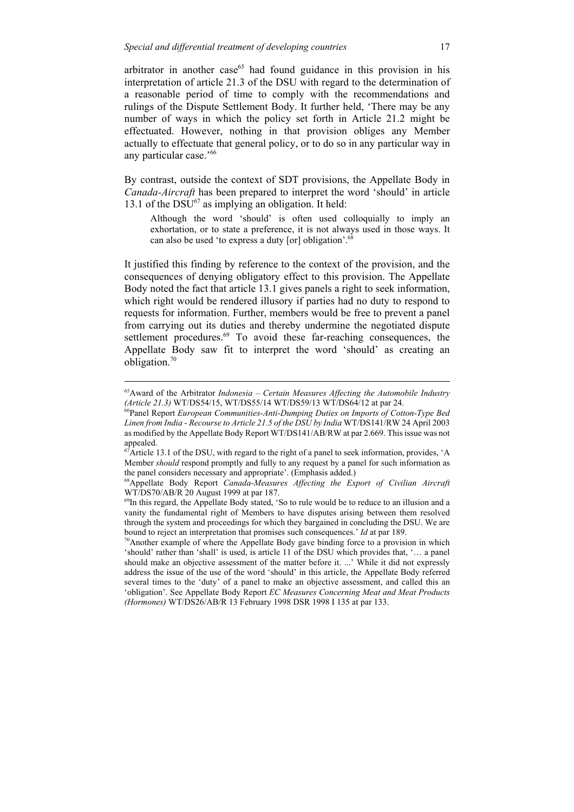arbitrator in another case $65$  had found guidance in this provision in his interpretation of article 21.3 of the DSU with regard to the determination of a reasonable period of time to comply with the recommendations and rulings of the Dispute Settlement Body. It further held, 'There may be any number of ways in which the policy set forth in Article 21.2 might be effectuated. However, nothing in that provision obliges any Member actually to effectuate that general policy, or to do so in any particular way in any particular case.'66

By contrast, outside the context of SDT provisions, the Appellate Body in *Canada-Aircraft* has been prepared to interpret the word 'should' in article 13.1 of the  $DSU^{67}$  as implying an obligation. It held:

Although the word 'should' is often used colloquially to imply an exhortation, or to state a preference, it is not always used in those ways. It can also be used 'to express a duty [or] obligation'.68

It justified this finding by reference to the context of the provision, and the consequences of denying obligatory effect to this provision. The Appellate Body noted the fact that article 13.1 gives panels a right to seek information, which right would be rendered illusory if parties had no duty to respond to requests for information. Further, members would be free to prevent a panel from carrying out its duties and thereby undermine the negotiated dispute settlement procedures.<sup>69</sup> To avoid these far-reaching consequences, the Appellate Body saw fit to interpret the word 'should' as creating an obligation. $70$ 

<sup>65</sup>Award of the Arbitrator *Indonesia – Certain Measures Affecting the Automobile Industry (Article 21.3)* WT/DS54/15, WT/DS55/14 WT/DS59/13 WT/DS64/12 at par 24.

<sup>66</sup>Panel Report *European Communities-Anti-Dumping Duties on Imports of Cotton-Type Bed Linen from India - Recourse to Article 21.5 of the DSU by India* WT/DS141/RW 24 April 2003 as modified by the Appellate Body Report WT/DS141/AB/RW at par 2.669. This issue was not appealed.

 $\overline{A}$ Article 13.1 of the DSU, with regard to the right of a panel to seek information, provides, 'A Member *should* respond promptly and fully to any request by a panel for such information as the panel considers necessary and appropriate'. (Emphasis added.)

<sup>68</sup>Appellate Body Report *Canada-Measures Affecting the Export of Civilian Aircraft* WT/DS70/AB/R 20 August 1999 at par 187.

<sup>&</sup>lt;sup>69</sup>In this regard, the Appellate Body stated, 'So to rule would be to reduce to an illusion and a vanity the fundamental right of Members to have disputes arising between them resolved through the system and proceedings for which they bargained in concluding the DSU. We are bound to reject an interpretation that promises such consequences.' *Id* at par 189.

<sup>70</sup>Another example of where the Appellate Body gave binding force to a provision in which 'should' rather than 'shall' is used, is article 11 of the DSU which provides that, '… a panel should make an objective assessment of the matter before it. ...' While it did not expressly address the issue of the use of the word 'should' in this article, the Appellate Body referred several times to the 'duty' of a panel to make an objective assessment, and called this an 'obligation'. See Appellate Body Report *EC Measures Concerning Meat and Meat Products (Hormones)* WT/DS26/AB/R 13 February 1998 DSR 1998 I 135 at par 133.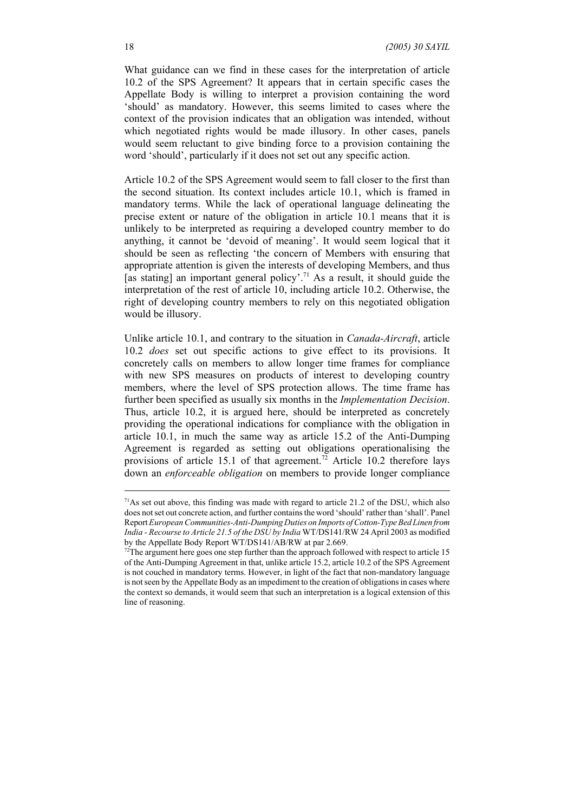What guidance can we find in these cases for the interpretation of article 10.2 of the SPS Agreement? It appears that in certain specific cases the Appellate Body is willing to interpret a provision containing the word 'should' as mandatory. However, this seems limited to cases where the context of the provision indicates that an obligation was intended, without which negotiated rights would be made illusory. In other cases, panels would seem reluctant to give binding force to a provision containing the word 'should', particularly if it does not set out any specific action.

Article 10.2 of the SPS Agreement would seem to fall closer to the first than the second situation. Its context includes article 10.1, which is framed in mandatory terms. While the lack of operational language delineating the precise extent or nature of the obligation in article 10.1 means that it is unlikely to be interpreted as requiring a developed country member to do anything, it cannot be 'devoid of meaning'. It would seem logical that it should be seen as reflecting 'the concern of Members with ensuring that appropriate attention is given the interests of developing Members, and thus [as stating] an important general policy'.<sup>71</sup> As a result, it should guide the interpretation of the rest of article 10, including article 10.2. Otherwise, the right of developing country members to rely on this negotiated obligation would be illusory.

Unlike article 10.1, and contrary to the situation in *Canada-Aircraft*, article 10.2 *does* set out specific actions to give effect to its provisions. It concretely calls on members to allow longer time frames for compliance with new SPS measures on products of interest to developing country members, where the level of SPS protection allows. The time frame has further been specified as usually six months in the *Implementation Decision*. Thus, article 10.2, it is argued here, should be interpreted as concretely providing the operational indications for compliance with the obligation in article 10.1, in much the same way as article 15.2 of the Anti-Dumping Agreement is regarded as setting out obligations operationalising the provisions of article 15.1 of that agreement.<sup>72</sup> Article 10.2 therefore lays down an *enforceable obligation* on members to provide longer compliance

 $71$ As set out above, this finding was made with regard to article 21.2 of the DSU, which also does not set out concrete action, and further contains the word 'should' rather than 'shall'. Panel Report *European Communities-Anti-Dumping Duties on Imports of Cotton-Type Bed Linen from India - Recourse to Article 21.5 of the DSU by India* WT/DS141/RW 24 April 2003 as modified by the Appellate Body Report WT/DS141/AB/RW at par 2.669.

 $72$ The argument here goes one step further than the approach followed with respect to article 15 of the Anti-Dumping Agreement in that, unlike article 15.2, article 10.2 of the SPS Agreement is not couched in mandatory terms. However, in light of the fact that non-mandatory language is not seen by the Appellate Body as an impediment to the creation of obligations in cases where the context so demands, it would seem that such an interpretation is a logical extension of this line of reasoning.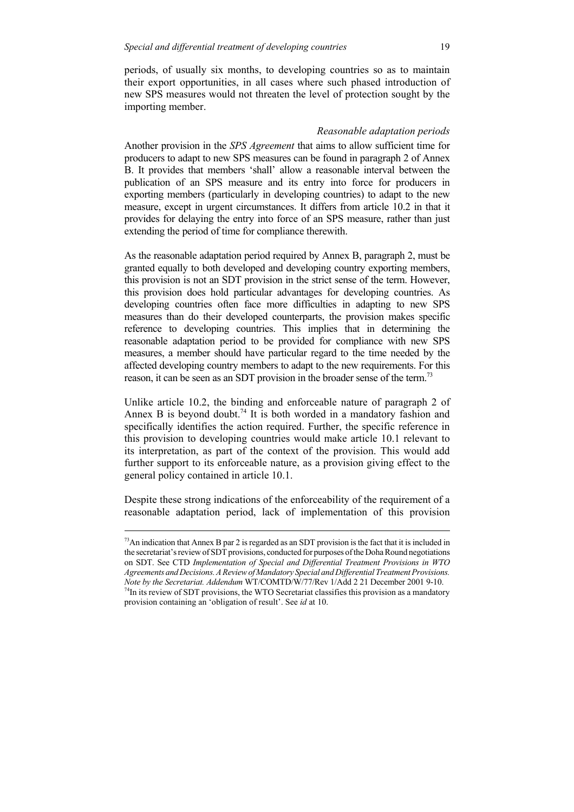periods, of usually six months, to developing countries so as to maintain their export opportunities, in all cases where such phased introduction of new SPS measures would not threaten the level of protection sought by the importing member.

#### *Reasonable adaptation periods*

Another provision in the *SPS Agreement* that aims to allow sufficient time for producers to adapt to new SPS measures can be found in paragraph 2 of Annex B. It provides that members 'shall' allow a reasonable interval between the publication of an SPS measure and its entry into force for producers in exporting members (particularly in developing countries) to adapt to the new measure, except in urgent circumstances. It differs from article 10.2 in that it provides for delaying the entry into force of an SPS measure, rather than just extending the period of time for compliance therewith.

As the reasonable adaptation period required by Annex B, paragraph 2, must be granted equally to both developed and developing country exporting members, this provision is not an SDT provision in the strict sense of the term. However, this provision does hold particular advantages for developing countries. As developing countries often face more difficulties in adapting to new SPS measures than do their developed counterparts, the provision makes specific reference to developing countries. This implies that in determining the reasonable adaptation period to be provided for compliance with new SPS measures, a member should have particular regard to the time needed by the affected developing country members to adapt to the new requirements. For this reason, it can be seen as an SDT provision in the broader sense of the term.73

Unlike article 10.2, the binding and enforceable nature of paragraph 2 of Annex B is beyond doubt.<sup>74</sup> It is both worded in a mandatory fashion and specifically identifies the action required. Further, the specific reference in this provision to developing countries would make article 10.1 relevant to its interpretation, as part of the context of the provision. This would add further support to its enforceable nature, as a provision giving effect to the general policy contained in article 10.1.

Despite these strong indications of the enforceability of the requirement of a reasonable adaptation period, lack of implementation of this provision

 $73$ An indication that Annex B par 2 is regarded as an SDT provision is the fact that it is included in the secretariat's review of SDT provisions, conducted for purposes of the Doha Round negotiations on SDT. See CTD *Implementation of Special and Differential Treatment Provisions in WTO Agreements and Decisions. A Review of Mandatory Special and Differential Treatment Provisions. Note by the Secretariat. Addendum* WT/COMTD/W/77/Rev 1/Add 2 21 December 2001 9-10.  $74$ In its review of SDT provisions, the WTO Secretariat classifies this provision as a mandatory provision containing an 'obligation of result'. See *id* at 10.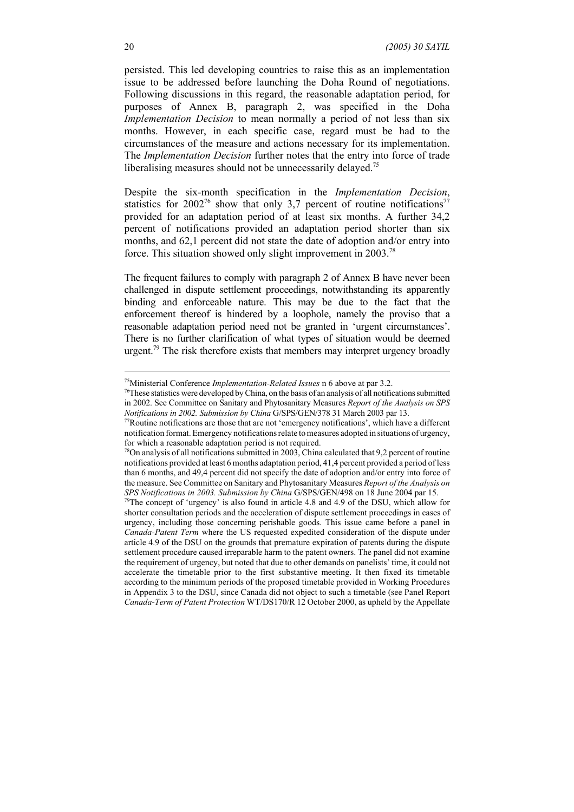persisted. This led developing countries to raise this as an implementation issue to be addressed before launching the Doha Round of negotiations. Following discussions in this regard, the reasonable adaptation period, for purposes of Annex B, paragraph 2, was specified in the Doha *Implementation Decision* to mean normally a period of not less than six months. However, in each specific case, regard must be had to the circumstances of the measure and actions necessary for its implementation. The *Implementation Decision* further notes that the entry into force of trade liberalising measures should not be unnecessarily delayed.<sup>75</sup>

Despite the six-month specification in the *Implementation Decision*, statistics for 2002<sup>76</sup> show that only 3,7 percent of routine notifications<sup>77</sup> provided for an adaptation period of at least six months. A further 34,2 percent of notifications provided an adaptation period shorter than six months, and 62,1 percent did not state the date of adoption and/or entry into force. This situation showed only slight improvement in 2003.<sup>78</sup>

The frequent failures to comply with paragraph 2 of Annex B have never been challenged in dispute settlement proceedings, notwithstanding its apparently binding and enforceable nature. This may be due to the fact that the enforcement thereof is hindered by a loophole, namely the proviso that a reasonable adaptation period need not be granted in 'urgent circumstances'. There is no further clarification of what types of situation would be deemed urgent.<sup>79</sup> The risk therefore exists that members may interpret urgency broadly

<sup>75</sup>Ministerial Conference *Implementation-Related Issues* n 6 above at par 3.2.

<sup>&</sup>lt;sup>76</sup>These statistics were developed by China, on the basis of an analysis of all notifications submitted in 2002. See Committee on Sanitary and Phytosanitary Measures *Report of the Analysis on SPS Notifications in 2002. Submission by China* G/SPS/GEN/378 31 March 2003 par 13.

 $77$ Routine notifications are those that are not 'emergency notifications', which have a different notification format. Emergency notifications relate to measures adopted in situations of urgency, for which a reasonable adaptation period is not required.

 $78$ On analysis of all notifications submitted in 2003, China calculated that 9,2 percent of routine notifications provided at least 6 months adaptation period, 41,4 percent provided a period of less than 6 months, and 49,4 percent did not specify the date of adoption and/or entry into force of the measure. See Committee on Sanitary and Phytosanitary Measures *Report of the Analysis on SPS Notifications in 2003. Submission by China* G/SPS/GEN/498 on 18 June 2004 par 15.

<sup>79</sup>The concept of 'urgency' is also found in article 4.8 and 4.9 of the DSU, which allow for shorter consultation periods and the acceleration of dispute settlement proceedings in cases of urgency, including those concerning perishable goods. This issue came before a panel in *Canada-Patent Term* where the US requested expedited consideration of the dispute under article 4.9 of the DSU on the grounds that premature expiration of patents during the dispute settlement procedure caused irreparable harm to the patent owners. The panel did not examine the requirement of urgency, but noted that due to other demands on panelists' time, it could not accelerate the timetable prior to the first substantive meeting. It then fixed its timetable according to the minimum periods of the proposed timetable provided in Working Procedures in Appendix 3 to the DSU, since Canada did not object to such a timetable (see Panel Report *Canada-Term of Patent Protection* WT/DS170/R 12 October 2000, as upheld by the Appellate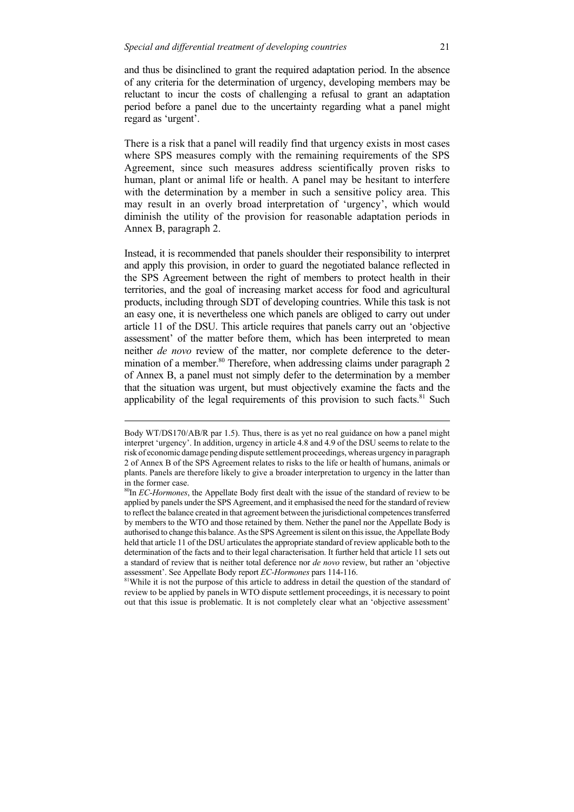and thus be disinclined to grant the required adaptation period. In the absence of any criteria for the determination of urgency, developing members may be reluctant to incur the costs of challenging a refusal to grant an adaptation period before a panel due to the uncertainty regarding what a panel might regard as 'urgent'.

There is a risk that a panel will readily find that urgency exists in most cases where SPS measures comply with the remaining requirements of the SPS Agreement, since such measures address scientifically proven risks to human, plant or animal life or health. A panel may be hesitant to interfere with the determination by a member in such a sensitive policy area. This may result in an overly broad interpretation of 'urgency', which would diminish the utility of the provision for reasonable adaptation periods in Annex B, paragraph 2.

Instead, it is recommended that panels shoulder their responsibility to interpret and apply this provision, in order to guard the negotiated balance reflected in the SPS Agreement between the right of members to protect health in their territories, and the goal of increasing market access for food and agricultural products, including through SDT of developing countries. While this task is not an easy one, it is nevertheless one which panels are obliged to carry out under article 11 of the DSU. This article requires that panels carry out an 'objective assessment' of the matter before them, which has been interpreted to mean neither *de novo* review of the matter, nor complete deference to the determination of a member.<sup>80</sup> Therefore, when addressing claims under paragraph 2 of Annex B, a panel must not simply defer to the determination by a member that the situation was urgent, but must objectively examine the facts and the applicability of the legal requirements of this provision to such facts.<sup>81</sup> Such

Body WT/DS170/AB/R par 1.5). Thus, there is as yet no real guidance on how a panel might interpret 'urgency'. In addition, urgency in article 4.8 and 4.9 of the DSU seems to relate to the risk of economic damage pending dispute settlement proceedings, whereas urgency in paragraph 2 of Annex B of the SPS Agreement relates to risks to the life or health of humans, animals or plants. Panels are therefore likely to give a broader interpretation to urgency in the latter than in the former case.

<sup>80</sup>In *EC-Hormones*, the Appellate Body first dealt with the issue of the standard of review to be applied by panels under the SPS Agreement, and it emphasised the need for the standard of review to reflect the balance created in that agreement between the jurisdictional competences transferred by members to the WTO and those retained by them. Nether the panel nor the Appellate Body is authorised to change this balance. As the SPS Agreement is silent on this issue, the Appellate Body held that article 11 of the DSU articulates the appropriate standard of review applicable both to the determination of the facts and to their legal characterisation. It further held that article 11 sets out a standard of review that is neither total deference nor *de novo* review, but rather an 'objective assessment'. See Appellate Body report *EC-Hormones* pars 114-116.

<sup>&</sup>lt;sup>81</sup>While it is not the purpose of this article to address in detail the question of the standard of review to be applied by panels in WTO dispute settlement proceedings, it is necessary to point out that this issue is problematic. It is not completely clear what an 'objective assessment'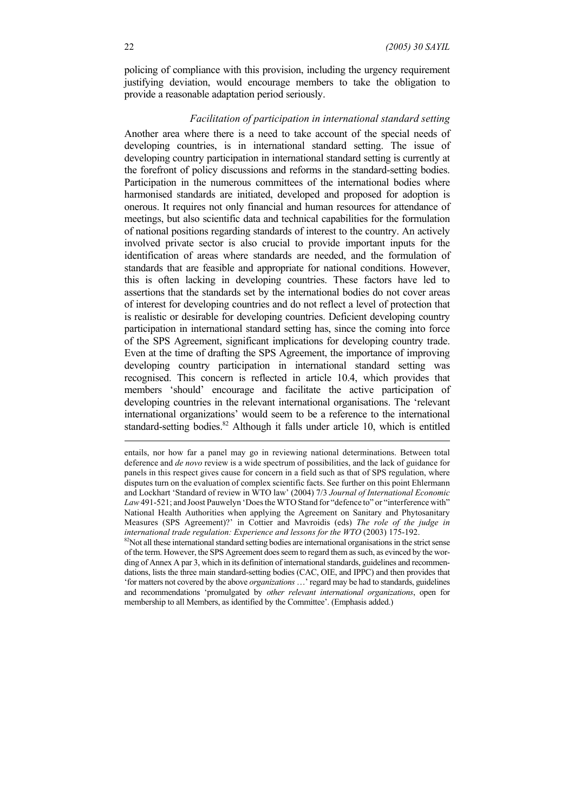policing of compliance with this provision, including the urgency requirement justifying deviation, would encourage members to take the obligation to provide a reasonable adaptation period seriously.

#### *Facilitation of participation in international standard setting*

Another area where there is a need to take account of the special needs of developing countries, is in international standard setting. The issue of developing country participation in international standard setting is currently at the forefront of policy discussions and reforms in the standard-setting bodies. Participation in the numerous committees of the international bodies where harmonised standards are initiated, developed and proposed for adoption is onerous. It requires not only financial and human resources for attendance of meetings, but also scientific data and technical capabilities for the formulation of national positions regarding standards of interest to the country. An actively involved private sector is also crucial to provide important inputs for the identification of areas where standards are needed, and the formulation of standards that are feasible and appropriate for national conditions. However, this is often lacking in developing countries. These factors have led to assertions that the standards set by the international bodies do not cover areas of interest for developing countries and do not reflect a level of protection that is realistic or desirable for developing countries. Deficient developing country participation in international standard setting has, since the coming into force of the SPS Agreement, significant implications for developing country trade. Even at the time of drafting the SPS Agreement, the importance of improving developing country participation in international standard setting was recognised. This concern is reflected in article 10.4, which provides that members 'should' encourage and facilitate the active participation of developing countries in the relevant international organisations. The 'relevant international organizations' would seem to be a reference to the international standard-setting bodies.<sup>82</sup> Although it falls under article 10, which is entitled

<sup>82</sup>Not all these international standard setting bodies are international organisations in the strict sense of the term. However, the SPS Agreement does seem to regard them as such, as evinced by the wording of Annex A par 3, which in its definition of international standards, guidelines and recommendations, lists the three main standard-setting bodies (CAC, OIE, and IPPC) and then provides that 'for matters not covered by the above *organizations* …' regard may be had to standards, guidelines and recommendations 'promulgated by *other relevant international organizations*, open for membership to all Members, as identified by the Committee'. (Emphasis added.)

entails, nor how far a panel may go in reviewing national determinations. Between total deference and *de novo* review is a wide spectrum of possibilities, and the lack of guidance for panels in this respect gives cause for concern in a field such as that of SPS regulation, where disputes turn on the evaluation of complex scientific facts. See further on this point Ehlermann and Lockhart 'Standard of review in WTO law' (2004) 7/3 *Journal of International Economic* Law 491-521; and Joost Pauwelyn 'Does the WTO Stand for "defence to" or "interference with" National Health Authorities when applying the Agreement on Sanitary and Phytosanitary Measures (SPS Agreement)?' in Cottier and Mavroidis (eds) *The role of the judge in international trade regulation: Experience and lessons for the WTO* (2003) 175-192.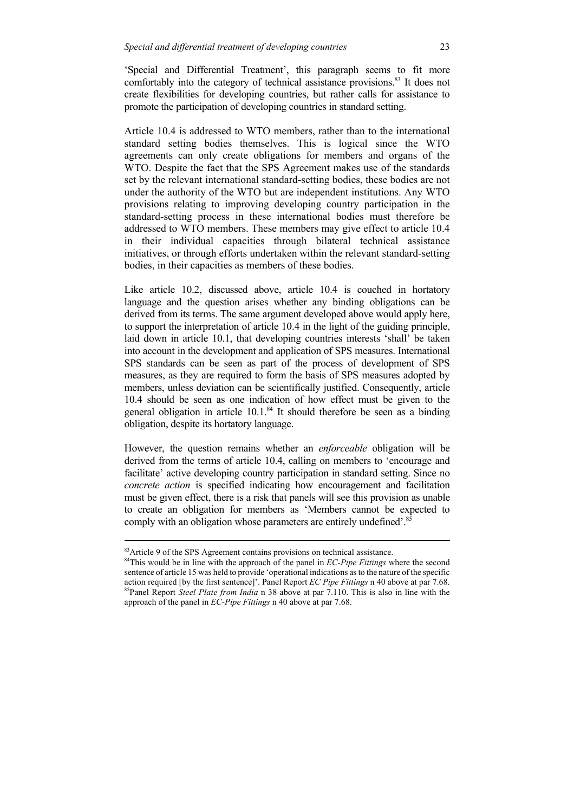'Special and Differential Treatment', this paragraph seems to fit more comfortably into the category of technical assistance provisions.<sup>83</sup> It does not create flexibilities for developing countries, but rather calls for assistance to promote the participation of developing countries in standard setting.

Article 10.4 is addressed to WTO members, rather than to the international standard setting bodies themselves. This is logical since the WTO agreements can only create obligations for members and organs of the WTO. Despite the fact that the SPS Agreement makes use of the standards set by the relevant international standard-setting bodies, these bodies are not under the authority of the WTO but are independent institutions. Any WTO provisions relating to improving developing country participation in the standard-setting process in these international bodies must therefore be addressed to WTO members. These members may give effect to article 10.4 in their individual capacities through bilateral technical assistance initiatives, or through efforts undertaken within the relevant standard-setting bodies, in their capacities as members of these bodies.

Like article 10.2, discussed above, article 10.4 is couched in hortatory language and the question arises whether any binding obligations can be derived from its terms. The same argument developed above would apply here, to support the interpretation of article 10.4 in the light of the guiding principle, laid down in article 10.1, that developing countries interests 'shall' be taken into account in the development and application of SPS measures. International SPS standards can be seen as part of the process of development of SPS measures, as they are required to form the basis of SPS measures adopted by members, unless deviation can be scientifically justified. Consequently, article 10.4 should be seen as one indication of how effect must be given to the general obligation in article  $10.1$ .<sup>84</sup> It should therefore be seen as a binding obligation, despite its hortatory language.

However, the question remains whether an *enforceable* obligation will be derived from the terms of article 10.4, calling on members to 'encourage and facilitate' active developing country participation in standard setting. Since no *concrete action* is specified indicating how encouragement and facilitation must be given effect, there is a risk that panels will see this provision as unable to create an obligation for members as 'Members cannot be expected to comply with an obligation whose parameters are entirely undefined'.<sup>85</sup>

<sup>&</sup>lt;sup>83</sup>Article 9 of the SPS Agreement contains provisions on technical assistance.

<sup>84</sup>This would be in line with the approach of the panel in *EC-Pipe Fittings* where the second sentence of article 15 was held to provide 'operational indications as to the nature of the specific action required [by the first sentence]'. Panel Report *EC Pipe Fittings* n 40 above at par 7.68. 85Panel Report *Steel Plate from India* n 38 above at par 7.110. This is also in line with the approach of the panel in *EC-Pipe Fittings* n 40 above at par 7.68.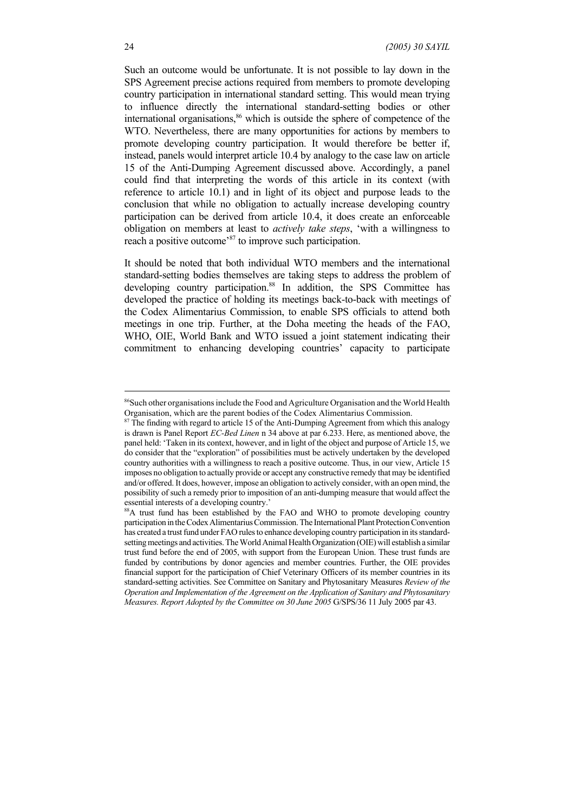Such an outcome would be unfortunate. It is not possible to lay down in the SPS Agreement precise actions required from members to promote developing country participation in international standard setting. This would mean trying to influence directly the international standard-setting bodies or other international organisations,<sup>86</sup> which is outside the sphere of competence of the WTO. Nevertheless, there are many opportunities for actions by members to promote developing country participation. It would therefore be better if, instead, panels would interpret article 10.4 by analogy to the case law on article 15 of the Anti-Dumping Agreement discussed above. Accordingly, a panel could find that interpreting the words of this article in its context (with reference to article 10.1) and in light of its object and purpose leads to the conclusion that while no obligation to actually increase developing country participation can be derived from article 10.4, it does create an enforceable obligation on members at least to *actively take steps*, 'with a willingness to reach a positive outcome<sup>87</sup> to improve such participation.

It should be noted that both individual WTO members and the international standard-setting bodies themselves are taking steps to address the problem of developing country participation.<sup>88</sup> In addition, the SPS Committee has developed the practice of holding its meetings back-to-back with meetings of the Codex Alimentarius Commission, to enable SPS officials to attend both meetings in one trip. Further, at the Doha meeting the heads of the FAO, WHO, OIE, World Bank and WTO issued a joint statement indicating their commitment to enhancing developing countries' capacity to participate

<sup>&</sup>lt;sup>86</sup>Such other organisations include the Food and Agriculture Organisation and the World Health Organisation, which are the parent bodies of the Codex Alimentarius Commission.

 $87$  The finding with regard to article 15 of the Anti-Dumping Agreement from which this analogy is drawn is Panel Report *EC-Bed Linen* n 34 above at par 6.233. Here, as mentioned above, the panel held: 'Taken in its context, however, and in light of the object and purpose of Article 15, we do consider that the "exploration" of possibilities must be actively undertaken by the developed country authorities with a willingness to reach a positive outcome. Thus, in our view, Article 15 imposes no obligation to actually provide or accept any constructive remedy that may be identified and/or offered. It does, however, impose an obligation to actively consider, with an open mind, the possibility of such a remedy prior to imposition of an anti-dumping measure that would affect the essential interests of a developing country.'

<sup>88</sup>A trust fund has been established by the FAO and WHO to promote developing country participation in the Codex Alimentarius Commission. The International Plant Protection Convention has created a trust fund under FAO rules to enhance developing country participation in its standardsetting meetings and activities. The World Animal Health Organization (OIE) will establish a similar trust fund before the end of 2005, with support from the European Union. These trust funds are funded by contributions by donor agencies and member countries. Further, the OIE provides financial support for the participation of Chief Veterinary Officers of its member countries in its standard-setting activities. See Committee on Sanitary and Phytosanitary Measures *Review of the Operation and Implementation of the Agreement on the Application of Sanitary and Phytosanitary Measures. Report Adopted by the Committee on 30 June 2005* G/SPS/36 11 July 2005 par 43.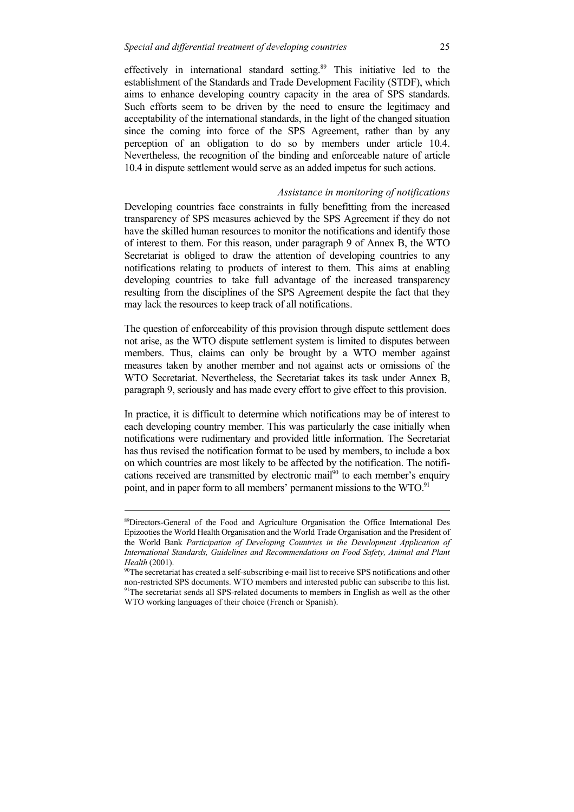effectively in international standard setting.<sup>89</sup> This initiative led to the establishment of the Standards and Trade Development Facility (STDF), which aims to enhance developing country capacity in the area of SPS standards. Such efforts seem to be driven by the need to ensure the legitimacy and acceptability of the international standards, in the light of the changed situation since the coming into force of the SPS Agreement, rather than by any perception of an obligation to do so by members under article 10.4. Nevertheless, the recognition of the binding and enforceable nature of article 10.4 in dispute settlement would serve as an added impetus for such actions.

#### *Assistance in monitoring of notifications*

Developing countries face constraints in fully benefitting from the increased transparency of SPS measures achieved by the SPS Agreement if they do not have the skilled human resources to monitor the notifications and identify those of interest to them. For this reason, under paragraph 9 of Annex B, the WTO Secretariat is obliged to draw the attention of developing countries to any notifications relating to products of interest to them. This aims at enabling developing countries to take full advantage of the increased transparency resulting from the disciplines of the SPS Agreement despite the fact that they may lack the resources to keep track of all notifications.

The question of enforceability of this provision through dispute settlement does not arise, as the WTO dispute settlement system is limited to disputes between members. Thus, claims can only be brought by a WTO member against measures taken by another member and not against acts or omissions of the WTO Secretariat. Nevertheless, the Secretariat takes its task under Annex B, paragraph 9, seriously and has made every effort to give effect to this provision.

In practice, it is difficult to determine which notifications may be of interest to each developing country member. This was particularly the case initially when notifications were rudimentary and provided little information. The Secretariat has thus revised the notification format to be used by members, to include a box on which countries are most likely to be affected by the notification. The notifications received are transmitted by electronic mail<sup>90</sup> to each member's enquiry point, and in paper form to all members' permanent missions to the WTO.<sup>91</sup>

<sup>89</sup>Directors-General of the Food and Agriculture Organisation the Office International Des Epizooties the World Health Organisation and the World Trade Organisation and the President of the World Bank *Participation of Developing Countries in the Development Application of International Standards, Guidelines and Recommendations on Food Safety, Animal and Plant Health* (2001).

<sup>&</sup>lt;sup>90</sup>The secretariat has created a self-subscribing e-mail list to receive SPS notifications and other non-restricted SPS documents. WTO members and interested public can subscribe to this list. <sup>91</sup>The secretariat sends all SPS-related documents to members in English as well as the other WTO working languages of their choice (French or Spanish).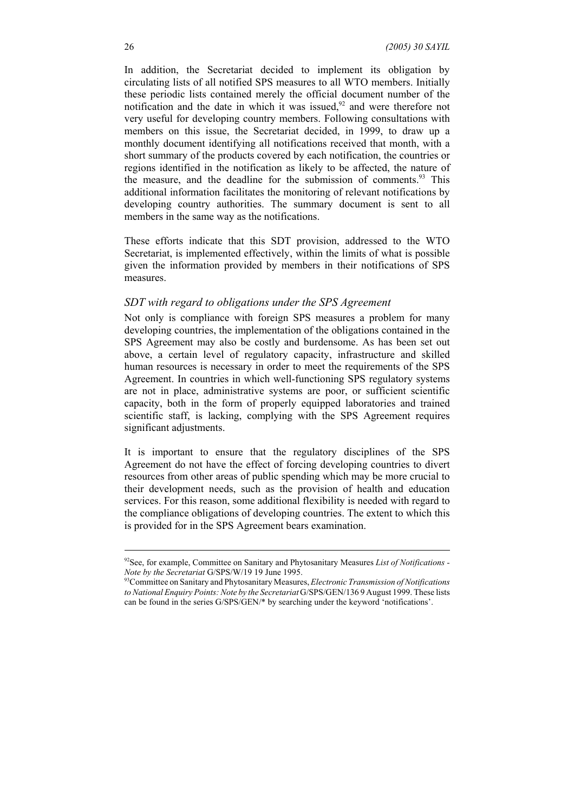In addition, the Secretariat decided to implement its obligation by circulating lists of all notified SPS measures to all WTO members. Initially these periodic lists contained merely the official document number of the notification and the date in which it was issued, $92$  and were therefore not very useful for developing country members. Following consultations with members on this issue, the Secretariat decided, in 1999, to draw up a monthly document identifying all notifications received that month, with a short summary of the products covered by each notification, the countries or regions identified in the notification as likely to be affected, the nature of the measure, and the deadline for the submission of comments.<sup>93</sup> This additional information facilitates the monitoring of relevant notifications by developing country authorities. The summary document is sent to all members in the same way as the notifications.

These efforts indicate that this SDT provision, addressed to the WTO Secretariat, is implemented effectively, within the limits of what is possible given the information provided by members in their notifications of SPS measures.

#### *SDT with regard to obligations under the SPS Agreement*

Not only is compliance with foreign SPS measures a problem for many developing countries, the implementation of the obligations contained in the SPS Agreement may also be costly and burdensome. As has been set out above, a certain level of regulatory capacity, infrastructure and skilled human resources is necessary in order to meet the requirements of the SPS Agreement. In countries in which well-functioning SPS regulatory systems are not in place, administrative systems are poor, or sufficient scientific capacity, both in the form of properly equipped laboratories and trained scientific staff, is lacking, complying with the SPS Agreement requires significant adjustments.

It is important to ensure that the regulatory disciplines of the SPS Agreement do not have the effect of forcing developing countries to divert resources from other areas of public spending which may be more crucial to their development needs, such as the provision of health and education services. For this reason, some additional flexibility is needed with regard to the compliance obligations of developing countries. The extent to which this is provided for in the SPS Agreement bears examination.

<sup>92</sup>See, for example, Committee on Sanitary and Phytosanitary Measures *List of Notifications - Note by the Secretariat* G/SPS/W/19 19 June 1995.

<sup>93</sup>Committee on Sanitary and Phytosanitary Measures, *Electronic Transmission of Notifications to National Enquiry Points: Note by the Secretariat* G/SPS/GEN/136 9 August 1999. These lists can be found in the series G/SPS/GEN/\* by searching under the keyword 'notifications'.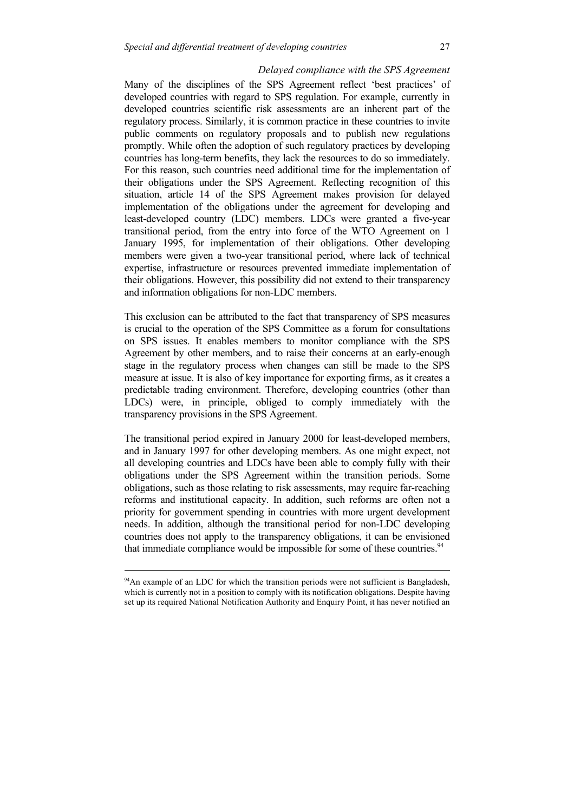#### *Delayed compliance with the SPS Agreement*

Many of the disciplines of the SPS Agreement reflect 'best practices' of developed countries with regard to SPS regulation. For example, currently in developed countries scientific risk assessments are an inherent part of the regulatory process. Similarly, it is common practice in these countries to invite public comments on regulatory proposals and to publish new regulations promptly. While often the adoption of such regulatory practices by developing countries has long-term benefits, they lack the resources to do so immediately. For this reason, such countries need additional time for the implementation of their obligations under the SPS Agreement. Reflecting recognition of this situation, article 14 of the SPS Agreement makes provision for delayed implementation of the obligations under the agreement for developing and least-developed country (LDC) members. LDCs were granted a five-year transitional period, from the entry into force of the WTO Agreement on 1 January 1995, for implementation of their obligations. Other developing members were given a two-year transitional period, where lack of technical expertise, infrastructure or resources prevented immediate implementation of their obligations. However, this possibility did not extend to their transparency and information obligations for non-LDC members.

This exclusion can be attributed to the fact that transparency of SPS measures is crucial to the operation of the SPS Committee as a forum for consultations on SPS issues. It enables members to monitor compliance with the SPS Agreement by other members, and to raise their concerns at an early-enough stage in the regulatory process when changes can still be made to the SPS measure at issue. It is also of key importance for exporting firms, as it creates a predictable trading environment. Therefore, developing countries (other than LDCs) were, in principle, obliged to comply immediately with the transparency provisions in the SPS Agreement.

The transitional period expired in January 2000 for least-developed members, and in January 1997 for other developing members. As one might expect, not all developing countries and LDCs have been able to comply fully with their obligations under the SPS Agreement within the transition periods. Some obligations, such as those relating to risk assessments, may require far-reaching reforms and institutional capacity. In addition, such reforms are often not a priority for government spending in countries with more urgent development needs. In addition, although the transitional period for non-LDC developing countries does not apply to the transparency obligations, it can be envisioned that immediate compliance would be impossible for some of these countries.<sup>94</sup>

<sup>&</sup>lt;sup>94</sup>An example of an LDC for which the transition periods were not sufficient is Bangladesh, which is currently not in a position to comply with its notification obligations. Despite having set up its required National Notification Authority and Enquiry Point, it has never notified an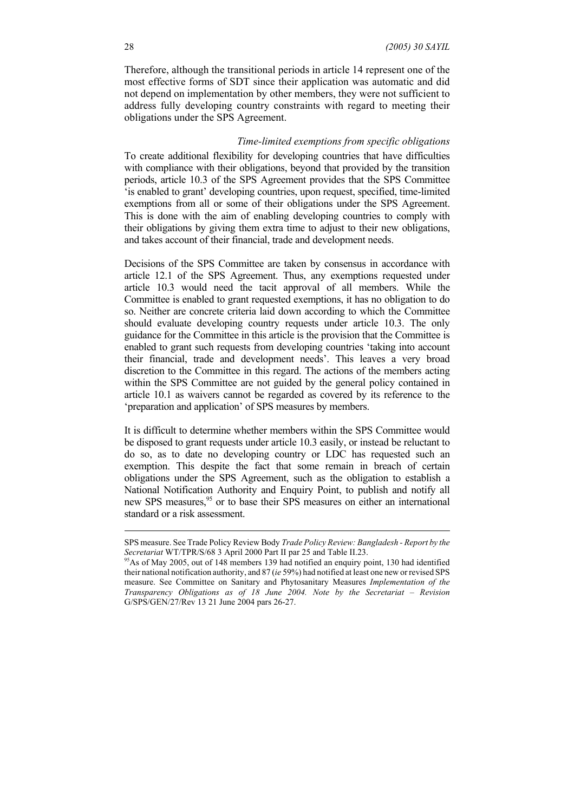Therefore, although the transitional periods in article 14 represent one of the most effective forms of SDT since their application was automatic and did not depend on implementation by other members, they were not sufficient to address fully developing country constraints with regard to meeting their obligations under the SPS Agreement.

#### *Time-limited exemptions from specific obligations*

To create additional flexibility for developing countries that have difficulties with compliance with their obligations, beyond that provided by the transition periods, article 10.3 of the SPS Agreement provides that the SPS Committee 'is enabled to grant' developing countries, upon request, specified, time-limited exemptions from all or some of their obligations under the SPS Agreement. This is done with the aim of enabling developing countries to comply with their obligations by giving them extra time to adjust to their new obligations, and takes account of their financial, trade and development needs.

Decisions of the SPS Committee are taken by consensus in accordance with article 12.1 of the SPS Agreement. Thus, any exemptions requested under article 10.3 would need the tacit approval of all members. While the Committee is enabled to grant requested exemptions, it has no obligation to do so. Neither are concrete criteria laid down according to which the Committee should evaluate developing country requests under article 10.3. The only guidance for the Committee in this article is the provision that the Committee is enabled to grant such requests from developing countries 'taking into account their financial, trade and development needs'. This leaves a very broad discretion to the Committee in this regard. The actions of the members acting within the SPS Committee are not guided by the general policy contained in article 10.1 as waivers cannot be regarded as covered by its reference to the 'preparation and application' of SPS measures by members.

It is difficult to determine whether members within the SPS Committee would be disposed to grant requests under article 10.3 easily, or instead be reluctant to do so, as to date no developing country or LDC has requested such an exemption. This despite the fact that some remain in breach of certain obligations under the SPS Agreement, such as the obligation to establish a National Notification Authority and Enquiry Point, to publish and notify all new SPS measures,<sup>95</sup> or to base their SPS measures on either an international standard or a risk assessment.

SPS measure. See Trade Policy Review Body *Trade Policy Review: Bangladesh - Report by the Secretariat* WT/TPR/S/68 3 April 2000 Part II par 25 and Table II.23.

<sup>&</sup>lt;sup>95</sup>As of May 2005, out of 148 members 139 had notified an enquiry point, 130 had identified their national notification authority, and 87 (*ie* 59%) had notified at least one new or revised SPS measure. See Committee on Sanitary and Phytosanitary Measures *Implementation of the Transparency Obligations as of 18 June 2004. Note by the Secretariat – Revision* G/SPS/GEN/27/Rev 13 21 June 2004 pars 26-27.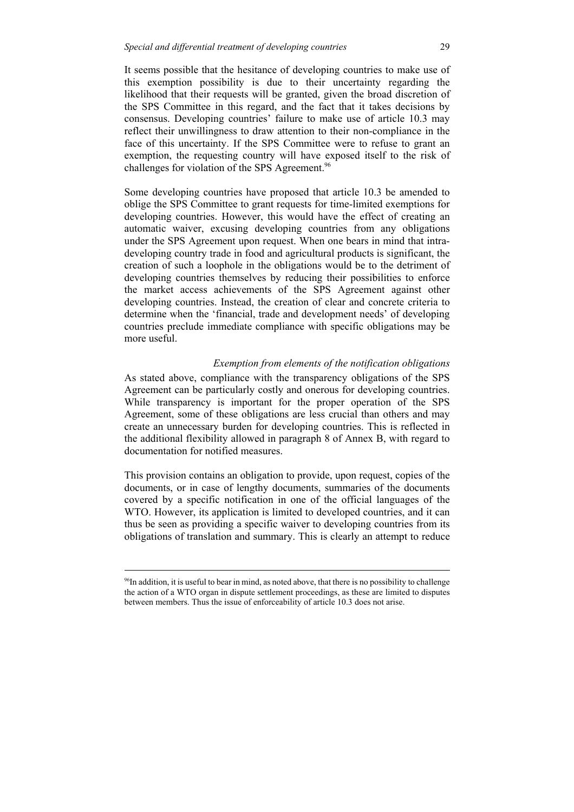It seems possible that the hesitance of developing countries to make use of this exemption possibility is due to their uncertainty regarding the likelihood that their requests will be granted, given the broad discretion of the SPS Committee in this regard, and the fact that it takes decisions by consensus. Developing countries' failure to make use of article 10.3 may reflect their unwillingness to draw attention to their non-compliance in the face of this uncertainty. If the SPS Committee were to refuse to grant an exemption, the requesting country will have exposed itself to the risk of challenges for violation of the SPS Agreement.<sup>96</sup>

Some developing countries have proposed that article 10.3 be amended to oblige the SPS Committee to grant requests for time-limited exemptions for developing countries. However, this would have the effect of creating an automatic waiver, excusing developing countries from any obligations under the SPS Agreement upon request. When one bears in mind that intradeveloping country trade in food and agricultural products is significant, the creation of such a loophole in the obligations would be to the detriment of developing countries themselves by reducing their possibilities to enforce the market access achievements of the SPS Agreement against other developing countries. Instead, the creation of clear and concrete criteria to determine when the 'financial, trade and development needs' of developing countries preclude immediate compliance with specific obligations may be more useful.

## *Exemption from elements of the notification obligations*

As stated above, compliance with the transparency obligations of the SPS Agreement can be particularly costly and onerous for developing countries. While transparency is important for the proper operation of the SPS Agreement, some of these obligations are less crucial than others and may create an unnecessary burden for developing countries. This is reflected in the additional flexibility allowed in paragraph 8 of Annex B, with regard to documentation for notified measures.

This provision contains an obligation to provide, upon request, copies of the documents, or in case of lengthy documents, summaries of the documents covered by a specific notification in one of the official languages of the WTO. However, its application is limited to developed countries, and it can thus be seen as providing a specific waiver to developing countries from its obligations of translation and summary. This is clearly an attempt to reduce

<sup>96</sup>In addition, it is useful to bear in mind, as noted above, that there is no possibility to challenge the action of a WTO organ in dispute settlement proceedings, as these are limited to disputes between members. Thus the issue of enforceability of article 10.3 does not arise.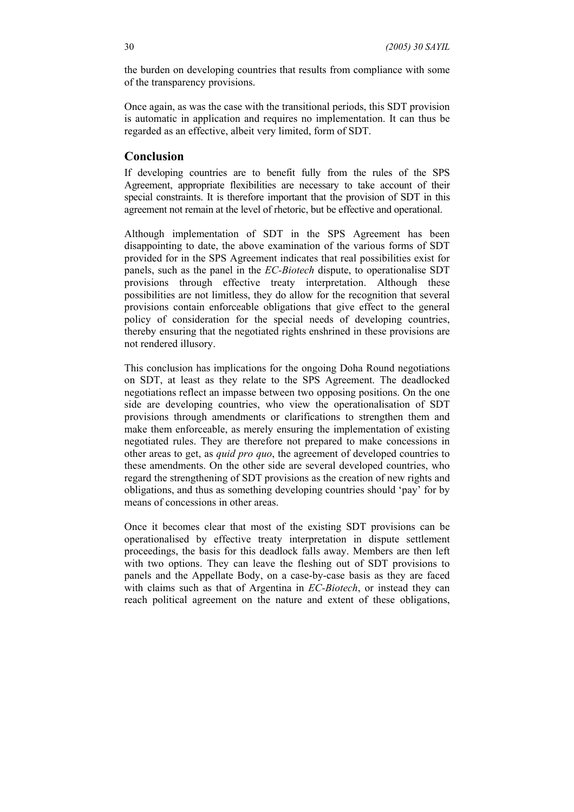the burden on developing countries that results from compliance with some of the transparency provisions.

Once again, as was the case with the transitional periods, this SDT provision is automatic in application and requires no implementation. It can thus be regarded as an effective, albeit very limited, form of SDT.

## **Conclusion**

If developing countries are to benefit fully from the rules of the SPS Agreement, appropriate flexibilities are necessary to take account of their special constraints. It is therefore important that the provision of SDT in this agreement not remain at the level of rhetoric, but be effective and operational.

Although implementation of SDT in the SPS Agreement has been disappointing to date, the above examination of the various forms of SDT provided for in the SPS Agreement indicates that real possibilities exist for panels, such as the panel in the *EC-Biotech* dispute, to operationalise SDT provisions through effective treaty interpretation. Although these possibilities are not limitless, they do allow for the recognition that several provisions contain enforceable obligations that give effect to the general policy of consideration for the special needs of developing countries, thereby ensuring that the negotiated rights enshrined in these provisions are not rendered illusory.

This conclusion has implications for the ongoing Doha Round negotiations on SDT, at least as they relate to the SPS Agreement. The deadlocked negotiations reflect an impasse between two opposing positions. On the one side are developing countries, who view the operationalisation of SDT provisions through amendments or clarifications to strengthen them and make them enforceable, as merely ensuring the implementation of existing negotiated rules. They are therefore not prepared to make concessions in other areas to get, as *quid pro quo*, the agreement of developed countries to these amendments. On the other side are several developed countries, who regard the strengthening of SDT provisions as the creation of new rights and obligations, and thus as something developing countries should 'pay' for by means of concessions in other areas.

Once it becomes clear that most of the existing SDT provisions can be operationalised by effective treaty interpretation in dispute settlement proceedings, the basis for this deadlock falls away. Members are then left with two options. They can leave the fleshing out of SDT provisions to panels and the Appellate Body, on a case-by-case basis as they are faced with claims such as that of Argentina in *EC-Biotech*, or instead they can reach political agreement on the nature and extent of these obligations,